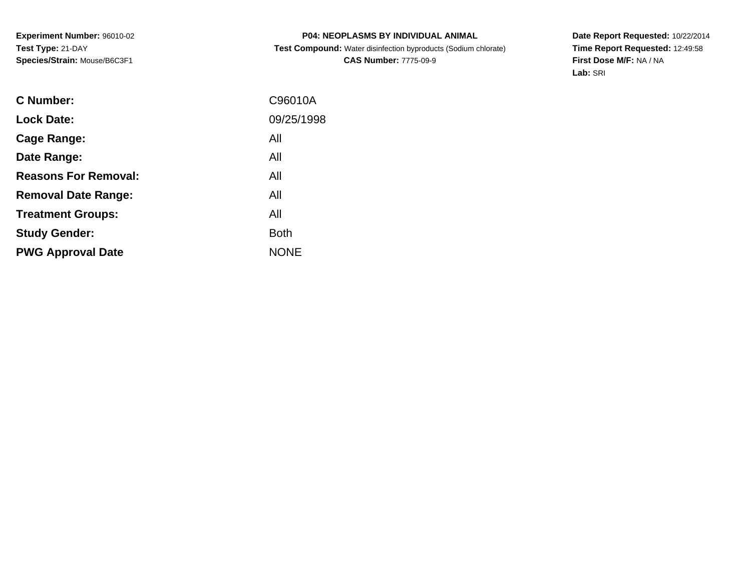# **P04: NEOPLASMS BY INDIVIDUAL ANIMALTest Compound:** Water disinfection byproducts (Sodium chlorate)

**CAS Number:** 7775-09-9

**Date Report Requested:** 10/22/2014 **Time Report Requested:** 12:49:58**First Dose M/F:** NA / NA**Lab:** SRI

| C Number:                   | C96010A     |
|-----------------------------|-------------|
| <b>Lock Date:</b>           | 09/25/1998  |
| Cage Range:                 | All         |
| Date Range:                 | All         |
| <b>Reasons For Removal:</b> | All         |
| <b>Removal Date Range:</b>  | All         |
| <b>Treatment Groups:</b>    | All         |
| <b>Study Gender:</b>        | <b>Both</b> |
| <b>PWG Approval Date</b>    | <b>NONE</b> |
|                             |             |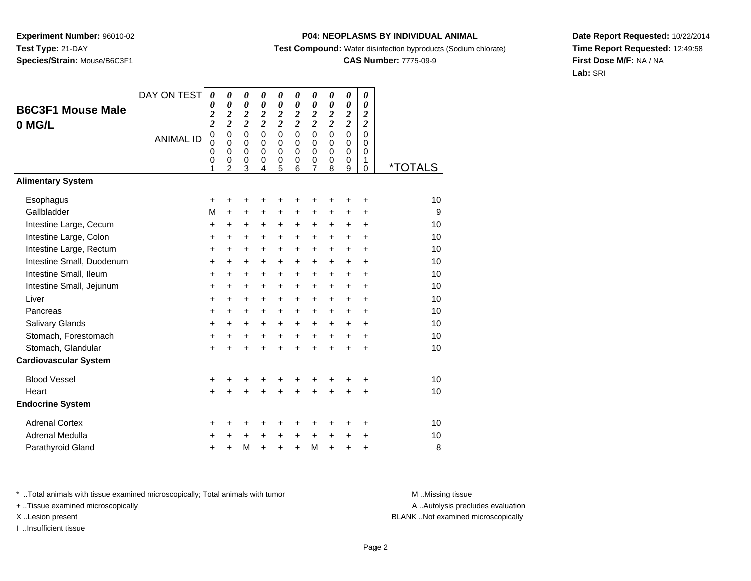## **P04: NEOPLASMS BY INDIVIDUAL ANIMAL**

**Test Compound:** Water disinfection byproducts (Sodium chlorate)

## **CAS Number:** 7775-09-9

**Date Report Requested:** 10/22/2014**Time Report Requested:** 12:49:58**First Dose M/F:** NA / NA**Lab:** SRI

| <b>B6C3F1 Mouse Male</b>     | DAY ON TEST      | 0<br>0<br>$\overline{\mathbf{c}}$                                    | 0<br>$\boldsymbol{\theta}$<br>$\overline{\mathbf{c}}$                 | 0<br>$\boldsymbol{\theta}$<br>$\overline{\mathbf{c}}$              | 0<br>$\boldsymbol{\theta}$<br>$\overline{2}$                    | 0<br>$\boldsymbol{\theta}$<br>$\overline{c}$                          | 0<br>0<br>$\boldsymbol{2}$                               | 0<br>0<br>$\overline{2}$                                  | 0<br>$\boldsymbol{\theta}$<br>$\overline{c}$                    | 0<br>$\boldsymbol{\theta}$<br>$\overline{\mathbf{c}}$ | 0<br>$\boldsymbol{\theta}$<br>$\boldsymbol{2}$                            |                       |
|------------------------------|------------------|----------------------------------------------------------------------|-----------------------------------------------------------------------|--------------------------------------------------------------------|-----------------------------------------------------------------|-----------------------------------------------------------------------|----------------------------------------------------------|-----------------------------------------------------------|-----------------------------------------------------------------|-------------------------------------------------------|---------------------------------------------------------------------------|-----------------------|
| 0 MG/L                       | <b>ANIMAL ID</b> | $\overline{\mathbf{c}}$<br>$\mathbf 0$<br>$\mathbf 0$<br>0<br>0<br>1 | $\overline{c}$<br>$\mathbf 0$<br>$\Omega$<br>0<br>0<br>$\overline{2}$ | $\overline{\mathbf{c}}$<br>0<br>$\mathbf 0$<br>$\pmb{0}$<br>0<br>3 | $\overline{2}$<br>$\Omega$<br>$\Omega$<br>$\mathbf 0$<br>0<br>4 | $\overline{2}$<br>$\mathbf 0$<br>$\mathbf 0$<br>$\mathbf 0$<br>0<br>5 | $\overline{2}$<br>0<br>$\Omega$<br>$\mathbf 0$<br>0<br>6 | $\overline{2}$<br>$\mathbf 0$<br>0<br>$\pmb{0}$<br>0<br>7 | $\overline{2}$<br>$\Omega$<br>$\Omega$<br>$\mathbf 0$<br>0<br>8 | $\overline{2}$<br>0<br>0<br>0<br>0<br>9               | $\overline{2}$<br>$\mathbf 0$<br>$\Omega$<br>$\mathbf 0$<br>1<br>$\Omega$ | <i><b>*TOTALS</b></i> |
| <b>Alimentary System</b>     |                  |                                                                      |                                                                       |                                                                    |                                                                 |                                                                       |                                                          |                                                           |                                                                 |                                                       |                                                                           |                       |
| Esophagus<br>Gallbladder     |                  | +<br>M                                                               | +<br>$\ddot{}$                                                        | +<br>$\ddot{}$                                                     | $\ddot{}$                                                       | ٠<br>$\ddot{}$                                                        | ٠<br>$\ddot{}$                                           | +<br>$\ddot{}$                                            | +<br>$\ddot{}$                                                  | +<br>$\ddot{}$                                        | $\ddot{}$<br>$\ddot{}$                                                    | 10<br>9               |
| Intestine Large, Cecum       |                  | $\ddot{}$                                                            | $\ddot{}$                                                             | +                                                                  | +                                                               | +                                                                     | +                                                        | +                                                         | +                                                               | +                                                     | $\ddot{}$                                                                 | 10                    |
| Intestine Large, Colon       |                  | $\ddot{}$                                                            | $\ddot{}$                                                             | $\ddot{}$                                                          | $\ddot{}$                                                       | $\ddot{}$                                                             | $\ddot{}$                                                | $\ddot{}$                                                 | $\ddot{}$                                                       | $\ddot{}$                                             | $\ddot{}$                                                                 | 10                    |
| Intestine Large, Rectum      |                  | $\ddot{}$                                                            | $\ddot{}$                                                             | $\ddot{}$                                                          | $\ddot{}$                                                       | $\ddot{}$                                                             | $\ddot{}$                                                | $\ddot{}$                                                 | $\ddot{}$                                                       | $\ddot{}$                                             | $+$                                                                       | 10                    |
| Intestine Small, Duodenum    |                  | +                                                                    | $\ddot{}$                                                             | $\ddot{}$                                                          | $\ddot{}$                                                       | $\ddot{}$                                                             | +                                                        | $\ddot{}$                                                 | $\ddot{}$                                                       | $\ddot{}$                                             | $\ddot{}$                                                                 | 10                    |
| Intestine Small, Ileum       |                  | +                                                                    | $\ddot{}$                                                             | $\ddot{}$                                                          | $\ddot{}$                                                       | +                                                                     | +                                                        | $\ddot{}$                                                 | $\ddot{}$                                                       | $\ddot{}$                                             | $\ddot{}$                                                                 | 10                    |
| Intestine Small, Jejunum     |                  | $\ddot{}$                                                            | $\ddot{}$                                                             | $\ddot{}$                                                          | $\ddot{}$                                                       | $\ddot{}$                                                             | $\ddot{}$                                                | $\ddot{}$                                                 | $\ddot{}$                                                       | $\ddot{}$                                             | $\ddot{}$                                                                 | 10                    |
| Liver                        |                  | $\ddot{}$                                                            | $\ddot{}$                                                             | $\ddot{}$                                                          | $\ddot{}$                                                       | $\ddot{}$                                                             | $\ddot{}$                                                | $\ddot{}$                                                 | $\ddot{}$                                                       | $\ddot{}$                                             | $+$                                                                       | 10                    |
| Pancreas                     |                  | +                                                                    | $\ddot{}$                                                             | $\ddot{}$                                                          | $\ddot{}$                                                       | $\ddot{}$                                                             | +                                                        | $\ddot{}$                                                 | $\ddot{}$                                                       | $\ddot{}$                                             | $\ddot{}$                                                                 | 10                    |
| <b>Salivary Glands</b>       |                  | $\ddot{}$                                                            | +                                                                     | +                                                                  | $\ddot{}$                                                       | $\ddot{}$                                                             | +                                                        | $\ddot{}$                                                 | $\ddot{}$                                                       | $\ddot{}$                                             | $\ddot{}$                                                                 | 10                    |
| Stomach, Forestomach         |                  | $\ddot{}$                                                            | $\ddot{}$                                                             | $\ddot{}$                                                          | $\ddot{}$                                                       | $\ddot{}$                                                             | $+$                                                      | $+$                                                       | $+$                                                             | $+$                                                   | $\ddot{}$                                                                 | 10                    |
| Stomach, Glandular           |                  | $\ddot{}$                                                            | $\ddot{}$                                                             | $\ddot{}$                                                          |                                                                 | $\ddot{}$                                                             | $\ddot{}$                                                | ÷                                                         | $\ddot{}$                                                       | $\ddot{}$                                             | $\ddot{}$                                                                 | 10                    |
| <b>Cardiovascular System</b> |                  |                                                                      |                                                                       |                                                                    |                                                                 |                                                                       |                                                          |                                                           |                                                                 |                                                       |                                                                           |                       |
| <b>Blood Vessel</b>          |                  | +                                                                    | +                                                                     | +                                                                  |                                                                 | +                                                                     |                                                          | +                                                         | +                                                               | +                                                     | +                                                                         | 10                    |
| Heart                        |                  | $\ddot{}$                                                            | $\ddot{}$                                                             | $\ddot{}$                                                          |                                                                 | $\ddot{}$                                                             | $\ddot{}$                                                | $\ddot{}$                                                 | $\ddot{}$                                                       | $\ddot{}$                                             | $\ddot{}$                                                                 | 10                    |
| <b>Endocrine System</b>      |                  |                                                                      |                                                                       |                                                                    |                                                                 |                                                                       |                                                          |                                                           |                                                                 |                                                       |                                                                           |                       |
| <b>Adrenal Cortex</b>        |                  | +                                                                    | +                                                                     | +                                                                  |                                                                 |                                                                       |                                                          | +                                                         |                                                                 | +                                                     | ٠                                                                         | 10                    |
| Adrenal Medulla              |                  | +                                                                    | +                                                                     | +                                                                  | $\ddot{}$                                                       | +                                                                     | $\ddot{}$                                                | $\ddot{}$                                                 | +                                                               | +                                                     | +                                                                         | 10                    |
| Parathyroid Gland            |                  | +                                                                    | +                                                                     | M                                                                  | $\ddot{}$                                                       | $\ddot{}$                                                             | $\ddot{}$                                                | M                                                         | $\ddot{}$                                                       | +                                                     | +                                                                         | 8                     |

\* ..Total animals with tissue examined microscopically; Total animals with tumor **M** . Missing tissue M ..Missing tissue

+ ..Tissue examined microscopically

I ..Insufficient tissue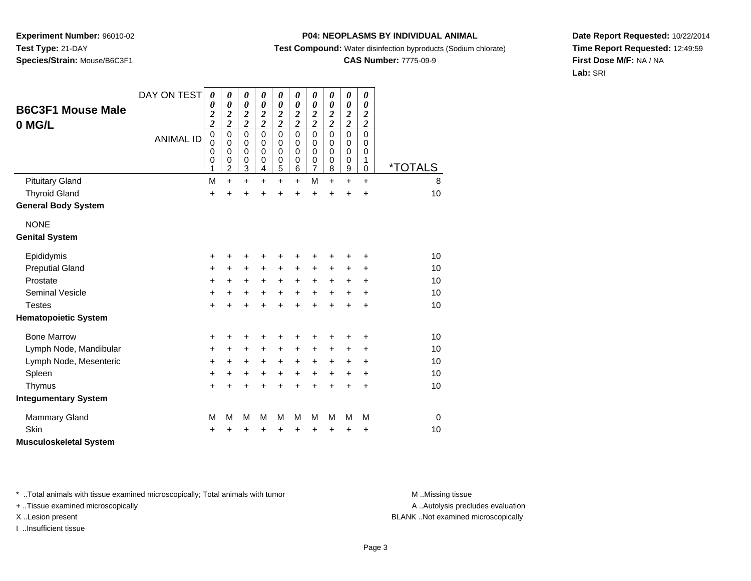## **P04: NEOPLASMS BY INDIVIDUAL ANIMAL**

**Test Compound:** Water disinfection byproducts (Sodium chlorate)

# **CAS Number:** 7775-09-9

**Date Report Requested:** 10/22/2014**Time Report Requested:** 12:49:59**First Dose M/F:** NA / NA**Lab:** SRI

| <b>B6C3F1 Mouse Male</b><br>0 MG/L | DAY ON TEST      | 0<br>0<br>$\overline{\mathbf{c}}$<br>$\overline{c}$ | 0<br>0<br>$\boldsymbol{2}$<br>$\overline{2}$                     | 0<br>$\boldsymbol{\theta}$<br>$\boldsymbol{2}$<br>$\overline{2}$ | 0<br>$\boldsymbol{\theta}$<br>$\boldsymbol{2}$<br>$\overline{2}$ | 0<br>$\boldsymbol{\theta}$<br>$\boldsymbol{2}$<br>$\overline{\mathbf{c}}$ | $\boldsymbol{\theta}$<br>0<br>$\boldsymbol{2}$<br>$\overline{c}$ | $\boldsymbol{\theta}$<br>0<br>$\boldsymbol{2}$<br>$\overline{2}$ | 0<br>$\boldsymbol{\theta}$<br>$\boldsymbol{z}$<br>$\overline{2}$ | 0<br>$\boldsymbol{\theta}$<br>$\boldsymbol{2}$<br>$\overline{2}$ | $\boldsymbol{\theta}$<br>$\boldsymbol{\theta}$<br>$\boldsymbol{2}$<br>$\overline{\mathbf{c}}$ |                       |
|------------------------------------|------------------|-----------------------------------------------------|------------------------------------------------------------------|------------------------------------------------------------------|------------------------------------------------------------------|---------------------------------------------------------------------------|------------------------------------------------------------------|------------------------------------------------------------------|------------------------------------------------------------------|------------------------------------------------------------------|-----------------------------------------------------------------------------------------------|-----------------------|
|                                    | <b>ANIMAL ID</b> | $\mathbf 0$<br>$\mathbf 0$<br>0<br>0<br>1           | $\mathbf 0$<br>$\mathbf 0$<br>$\mathbf 0$<br>0<br>$\overline{c}$ | $\mathbf 0$<br>0<br>$\mathbf 0$<br>0<br>3                        | $\mathbf 0$<br>$\Omega$<br>0<br>0<br>$\overline{4}$              | $\mathbf 0$<br>$\mathbf 0$<br>0<br>0<br>$\overline{5}$                    | $\mathbf 0$<br>$\mathbf 0$<br>0<br>0<br>6                        | $\mathbf 0$<br>0<br>0<br>$\frac{0}{7}$                           | 0<br>$\mathbf 0$<br>0<br>0<br>8                                  | 0<br>0<br>0<br>0<br>9                                            | $\mathbf 0$<br>0<br>0<br>1<br>0                                                               | <i><b>*TOTALS</b></i> |
| <b>Pituitary Gland</b>             |                  | M                                                   | $\ddot{}$                                                        | $\ddot{}$                                                        | $\ddot{}$                                                        | $\ddot{}$                                                                 | $\ddot{}$                                                        | M                                                                | $\ddot{}$                                                        | $\ddot{}$                                                        | $\ddot{}$                                                                                     | 8                     |
| <b>Thyroid Gland</b>               |                  | $\ddot{}$                                           |                                                                  | $\ddot{}$                                                        | $\ddot{}$                                                        | $\ddot{}$                                                                 | $\ddot{}$                                                        | $\ddot{}$                                                        | $\ddot{}$                                                        | $\ddot{}$                                                        | $\ddot{}$                                                                                     | 10                    |
| <b>General Body System</b>         |                  |                                                     |                                                                  |                                                                  |                                                                  |                                                                           |                                                                  |                                                                  |                                                                  |                                                                  |                                                                                               |                       |
| <b>NONE</b>                        |                  |                                                     |                                                                  |                                                                  |                                                                  |                                                                           |                                                                  |                                                                  |                                                                  |                                                                  |                                                                                               |                       |
| <b>Genital System</b>              |                  |                                                     |                                                                  |                                                                  |                                                                  |                                                                           |                                                                  |                                                                  |                                                                  |                                                                  |                                                                                               |                       |
| Epididymis                         |                  | +                                                   | +                                                                | ٠                                                                | +                                                                | ٠                                                                         | +                                                                | ٠                                                                | +                                                                | +                                                                | ٠                                                                                             | 10                    |
| <b>Preputial Gland</b>             |                  | $\ddot{}$                                           | +                                                                | +                                                                | +                                                                | +                                                                         | $\ddot{}$                                                        | $\ddot{}$                                                        | +                                                                | ٠                                                                | ÷                                                                                             | 10                    |
| Prostate                           |                  | +                                                   | $\ddot{}$                                                        | $\ddot{}$                                                        | $\ddot{}$                                                        | $\ddot{}$                                                                 | $\ddot{}$                                                        | $\ddot{}$                                                        | $\ddot{}$                                                        | $\ddot{}$                                                        | $\ddot{}$                                                                                     | 10                    |
| <b>Seminal Vesicle</b>             |                  | $\ddot{}$                                           | $\ddot{}$                                                        | $\ddot{}$                                                        | $\ddot{}$                                                        | $\ddot{}$                                                                 | $\ddot{}$                                                        | $\ddot{}$                                                        | $\ddot{}$                                                        | $\ddot{}$                                                        | $\ddot{}$                                                                                     | 10                    |
| <b>Testes</b>                      |                  | $\ddot{}$                                           | +                                                                | $\ddot{}$                                                        | $\ddot{}$                                                        | $\ddot{}$                                                                 | ÷                                                                | $\ddot{}$                                                        | $\ddot{}$                                                        | $\ddot{}$                                                        | $\ddot{}$                                                                                     | 10                    |
| <b>Hematopoietic System</b>        |                  |                                                     |                                                                  |                                                                  |                                                                  |                                                                           |                                                                  |                                                                  |                                                                  |                                                                  |                                                                                               |                       |
| <b>Bone Marrow</b>                 |                  | +                                                   | ٠                                                                | +                                                                | +                                                                | +                                                                         |                                                                  | +                                                                |                                                                  | +                                                                | ٠                                                                                             | 10                    |
| Lymph Node, Mandibular             |                  | +                                                   | $\ddot{}$                                                        | $\ddot{}$                                                        | $\ddot{}$                                                        | +                                                                         | $\ddot{}$                                                        | +                                                                | $\ddot{}$                                                        | +                                                                | $\ddot{}$                                                                                     | 10                    |
| Lymph Node, Mesenteric             |                  | $\ddot{}$                                           | $\ddot{}$                                                        | $\ddot{}$                                                        | $\ddot{}$                                                        | $\ddot{}$                                                                 | $\ddot{}$                                                        | $\ddot{}$                                                        | $\ddot{}$                                                        | +                                                                | $\ddot{}$                                                                                     | 10                    |
| Spleen                             |                  | $\ddot{}$                                           | +                                                                | +                                                                | +                                                                | +                                                                         | $\ddot{}$                                                        | $\ddot{}$                                                        | $\ddot{}$                                                        | +                                                                | +                                                                                             | 10                    |
| Thymus                             |                  | $\ddot{}$                                           |                                                                  | $\ddot{}$                                                        | $\ddot{}$                                                        | $\ddot{}$                                                                 | $\ddot{}$                                                        | $\ddot{}$                                                        | $\ddot{}$                                                        | +                                                                | $\ddot{}$                                                                                     | 10                    |
| <b>Integumentary System</b>        |                  |                                                     |                                                                  |                                                                  |                                                                  |                                                                           |                                                                  |                                                                  |                                                                  |                                                                  |                                                                                               |                       |
| <b>Mammary Gland</b>               |                  | M                                                   | М                                                                | M                                                                | м                                                                | M                                                                         | м                                                                | M                                                                | м                                                                | м                                                                | м                                                                                             | $\Omega$              |
| Skin                               |                  | +                                                   |                                                                  | +                                                                | +                                                                | +                                                                         | +                                                                | +                                                                | +                                                                | +                                                                | $\ddot{}$                                                                                     | 10                    |
| <b>Musculoskeletal System</b>      |                  |                                                     |                                                                  |                                                                  |                                                                  |                                                                           |                                                                  |                                                                  |                                                                  |                                                                  |                                                                                               |                       |

\* ..Total animals with tissue examined microscopically; Total animals with tumor **M** . Missing tissue M ..Missing tissue

+ ..Tissue examined microscopically

I ..Insufficient tissue

A ..Autolysis precludes evaluation

X ..Lesion present BLANK ..Not examined microscopically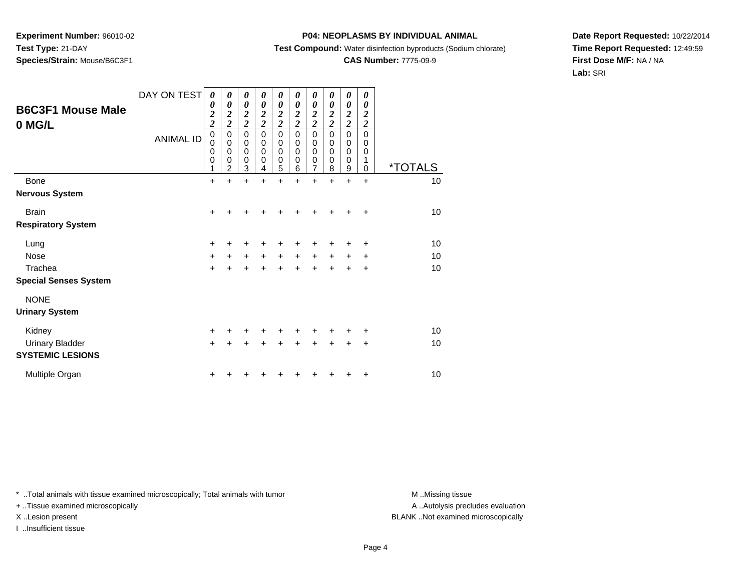## **P04: NEOPLASMS BY INDIVIDUAL ANIMAL**

**Test Compound:** Water disinfection byproducts (Sodium chlorate)

# **CAS Number:** 7775-09-9

**Date Report Requested:** 10/22/2014**Time Report Requested:** 12:49:59**First Dose M/F:** NA / NA**Lab:** SRI

| <b>B6C3F1 Mouse Male</b><br>0 MG/L | DAY ON TEST<br><b>ANIMAL ID</b> | 0<br>0<br>$\frac{2}{2}$<br>$\pmb{0}$<br>$\mathbf 0$<br>0<br>$\mathbf 0$<br>1 | 0<br>$\boldsymbol{\theta}$<br>$\boldsymbol{2}$<br>$\overline{c}$<br>$\mathbf 0$<br>$\mathbf 0$<br>$\mathbf 0$<br>$\mathbf 0$<br>$\overline{2}$ | 0<br>$\boldsymbol{\theta}$<br>$\frac{2}{2}$<br>$\mathbf 0$<br>$\mathbf 0$<br>$\mathbf 0$<br>$\mathbf 0$<br>3 | 0<br>0<br>$\boldsymbol{2}$<br>$\overline{\mathbf{c}}$<br>$\mathbf 0$<br>$\mathbf 0$<br>$\mathbf 0$<br>$\mathbf 0$<br>4 | 0<br>$\boldsymbol{\theta}$<br>$\frac{2}{2}$<br>$\mathbf 0$<br>$\mathbf 0$<br>$\mathbf 0$<br>$\mathbf 0$<br>5 | 0<br>0<br>$\boldsymbol{2}$<br>$\overline{2}$<br>$\mathbf 0$<br>$\pmb{0}$<br>$\mathbf 0$<br>$\mathbf 0$<br>6 | 0<br>0<br>$\frac{2}{2}$<br>$\mathbf 0$<br>0<br>$\mathbf 0$<br>0<br>$\overline{7}$ | 0<br>0<br>$\boldsymbol{2}$<br>$\overline{\mathbf{c}}$<br>$\mathbf 0$<br>0<br>0<br>$\mathbf 0$<br>8 | 0<br>0<br>$\frac{2}{2}$<br>0<br>0<br>$\mathbf 0$<br>$\mathbf 0$<br>9 | 0<br>0<br>$\overline{\mathbf{c}}$<br>$\overline{c}$<br>$\Omega$<br>$\Omega$<br>0<br>1<br>0 | <i><b>*TOTALS</b></i> |
|------------------------------------|---------------------------------|------------------------------------------------------------------------------|------------------------------------------------------------------------------------------------------------------------------------------------|--------------------------------------------------------------------------------------------------------------|------------------------------------------------------------------------------------------------------------------------|--------------------------------------------------------------------------------------------------------------|-------------------------------------------------------------------------------------------------------------|-----------------------------------------------------------------------------------|----------------------------------------------------------------------------------------------------|----------------------------------------------------------------------|--------------------------------------------------------------------------------------------|-----------------------|
| <b>Bone</b>                        |                                 | $\ddot{}$                                                                    | $\ddot{}$                                                                                                                                      | $\ddot{}$                                                                                                    |                                                                                                                        | $\ddot{}$                                                                                                    |                                                                                                             | $\ddot{}$                                                                         | $\ddot{}$                                                                                          | $\ddot{}$                                                            | $\ddot{}$                                                                                  | 10                    |
| <b>Nervous System</b>              |                                 |                                                                              |                                                                                                                                                |                                                                                                              |                                                                                                                        |                                                                                                              |                                                                                                             |                                                                                   |                                                                                                    |                                                                      |                                                                                            |                       |
| <b>Brain</b>                       |                                 | $\ddot{}$                                                                    |                                                                                                                                                |                                                                                                              |                                                                                                                        |                                                                                                              |                                                                                                             |                                                                                   |                                                                                                    |                                                                      | $\div$                                                                                     | 10                    |
| <b>Respiratory System</b>          |                                 |                                                                              |                                                                                                                                                |                                                                                                              |                                                                                                                        |                                                                                                              |                                                                                                             |                                                                                   |                                                                                                    |                                                                      |                                                                                            |                       |
| Lung                               |                                 | +                                                                            |                                                                                                                                                |                                                                                                              |                                                                                                                        |                                                                                                              |                                                                                                             | +                                                                                 |                                                                                                    | +                                                                    | +                                                                                          | 10                    |
| <b>Nose</b>                        |                                 | $\ddot{}$                                                                    | $\ddot{}$                                                                                                                                      | $\ddot{}$                                                                                                    | $\ddot{}$                                                                                                              | $+$                                                                                                          | $\ddot{}$                                                                                                   | $\ddot{}$                                                                         | $\ddot{}$                                                                                          | +                                                                    | $\ddot{}$                                                                                  | 10                    |
| Trachea                            |                                 | $\ddot{}$                                                                    |                                                                                                                                                | $\ddot{}$                                                                                                    |                                                                                                                        |                                                                                                              |                                                                                                             |                                                                                   |                                                                                                    | +                                                                    | $\ddot{}$                                                                                  | 10                    |
| <b>Special Senses System</b>       |                                 |                                                                              |                                                                                                                                                |                                                                                                              |                                                                                                                        |                                                                                                              |                                                                                                             |                                                                                   |                                                                                                    |                                                                      |                                                                                            |                       |
| <b>NONE</b>                        |                                 |                                                                              |                                                                                                                                                |                                                                                                              |                                                                                                                        |                                                                                                              |                                                                                                             |                                                                                   |                                                                                                    |                                                                      |                                                                                            |                       |
| <b>Urinary System</b>              |                                 |                                                                              |                                                                                                                                                |                                                                                                              |                                                                                                                        |                                                                                                              |                                                                                                             |                                                                                   |                                                                                                    |                                                                      |                                                                                            |                       |
| Kidney                             |                                 | $\ddot{}$                                                                    |                                                                                                                                                |                                                                                                              |                                                                                                                        |                                                                                                              |                                                                                                             |                                                                                   |                                                                                                    |                                                                      | ٠                                                                                          | 10                    |
| <b>Urinary Bladder</b>             |                                 | $\ddot{}$                                                                    |                                                                                                                                                |                                                                                                              |                                                                                                                        |                                                                                                              |                                                                                                             |                                                                                   |                                                                                                    | +                                                                    | $\ddot{}$                                                                                  | 10                    |
| <b>SYSTEMIC LESIONS</b>            |                                 |                                                                              |                                                                                                                                                |                                                                                                              |                                                                                                                        |                                                                                                              |                                                                                                             |                                                                                   |                                                                                                    |                                                                      |                                                                                            |                       |
| Multiple Organ                     |                                 | +                                                                            |                                                                                                                                                |                                                                                                              |                                                                                                                        |                                                                                                              |                                                                                                             |                                                                                   |                                                                                                    |                                                                      | +                                                                                          | 10                    |

\* ..Total animals with tissue examined microscopically; Total animals with tumor **M** . Missing tissue M ..Missing tissue

+ ..Tissue examined microscopically

I ..Insufficient tissue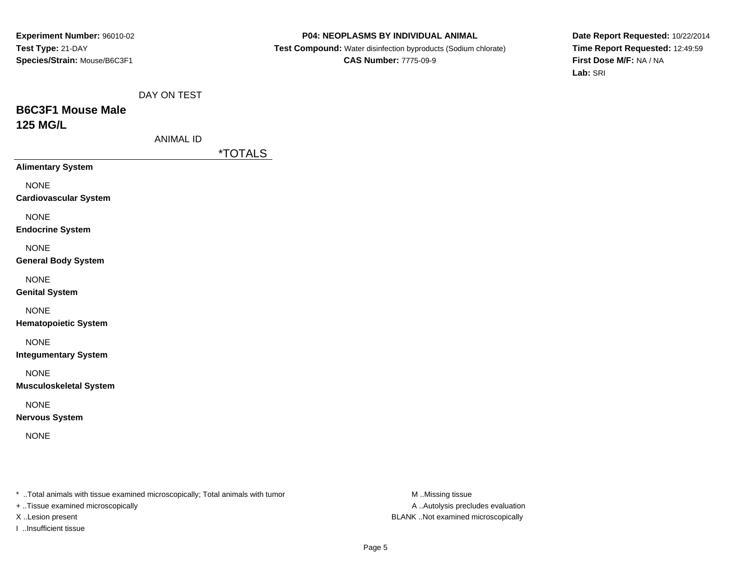#### **P04: NEOPLASMS BY INDIVIDUAL ANIMAL**

 **Test Compound:** Water disinfection byproducts (Sodium chlorate)**CAS Number:** 7775-09-9

**Date Report Requested:** 10/22/2014**Time Report Requested:** 12:49:59**First Dose M/F:** NA / NA**Lab:** SRI

# **B6C3F1 Mouse Male125 MG/L**

| ANIMAL ID |  |
|-----------|--|
|           |  |

\*TOTALS

**Alimentary System**

NONE

**Cardiovascular System**

NONE

**Endocrine System**

NONE

### **General Body System**

NONE

**Genital System**

## NONE

**Hematopoietic System**

# NONE

**Integumentary System**

NONE

**Musculoskeletal System**

# NONE

**Nervous System**

NONE

\* ..Total animals with tissue examined microscopically; Total animals with tumor **M** ..Missing tissue M ..Missing tissue

+ ..Tissue examined microscopically

I ..Insufficient tissue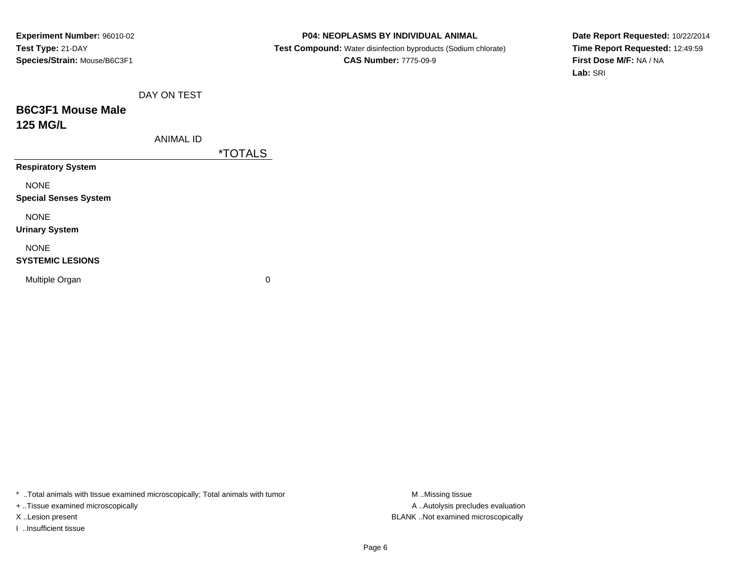#### **P04: NEOPLASMS BY INDIVIDUAL ANIMAL**

 **Test Compound:** Water disinfection byproducts (Sodium chlorate)**CAS Number:** 7775-09-9

**Date Report Requested:** 10/22/2014**Time Report Requested:** 12:49:59**First Dose M/F:** NA / NA**Lab:** SRI

|  | DAY ON TEST |
|--|-------------|
|  |             |

# **B6C3F1 Mouse Male125 MG/L**

\*TOTALS

**Respiratory System**

NONE

**Special Senses System**

NONE

**Urinary System**

## NONE

### **SYSTEMIC LESIONS**

Multiple Organ

 $\mathbf n$  0

\* ..Total animals with tissue examined microscopically; Total animals with tumor **M** ...Missing tissue M ...Missing tissue

+ ..Tissue examined microscopically

I ..Insufficient tissue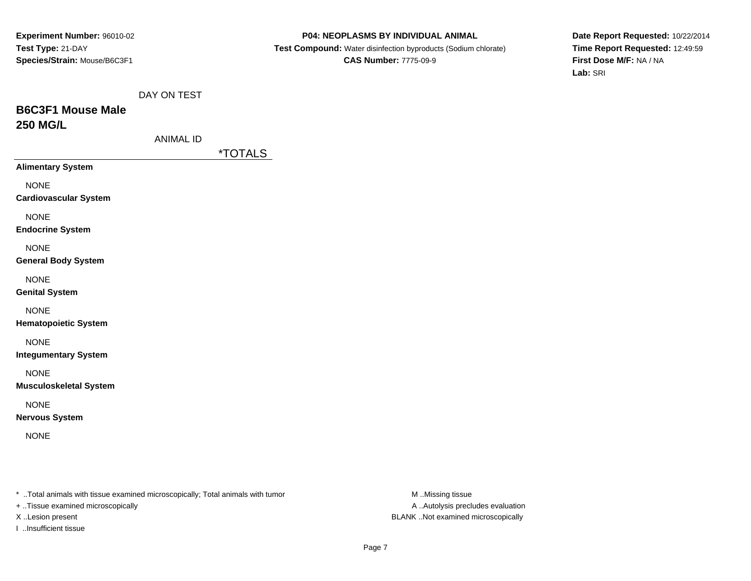#### **P04: NEOPLASMS BY INDIVIDUAL ANIMAL**

 **Test Compound:** Water disinfection byproducts (Sodium chlorate)**CAS Number:** 7775-09-9

**Date Report Requested:** 10/22/2014**Time Report Requested:** 12:49:59**First Dose M/F:** NA / NA**Lab:** SRI

# **B6C3F1 Mouse Male250 MG/L**

| ANIMAL ID |  |
|-----------|--|
|           |  |

\*TOTALS

**Alimentary System**

NONE

**Cardiovascular System**

NONE

**Endocrine System**

NONE

### **General Body System**

NONE

**Genital System**

NONE

**Hematopoietic System**

NONE

**Integumentary System**

NONE

**Musculoskeletal System**

# NONE

**Nervous System**

NONE

\* ..Total animals with tissue examined microscopically; Total animals with tumor **M** ..Missing tissue M ..Missing tissue

+ ..Tissue examined microscopically

I ..Insufficient tissue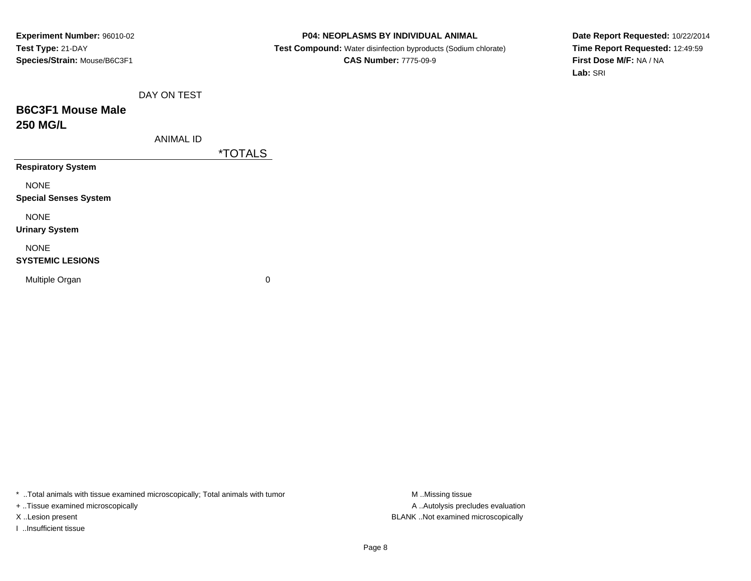#### **P04: NEOPLASMS BY INDIVIDUAL ANIMAL**

 **Test Compound:** Water disinfection byproducts (Sodium chlorate)**CAS Number:** 7775-09-9

**Date Report Requested:** 10/22/2014**Time Report Requested:** 12:49:59**First Dose M/F:** NA / NA**Lab:** SRI

|  | DAY ON TEST |
|--|-------------|
|  |             |

# **B6C3F1 Mouse Male250 MG/L**

\*TOTALS

**Respiratory System**

NONE

**Special Senses System**

NONE

**Urinary System**

## NONE

### **SYSTEMIC LESIONS**

Multiple Organ

 $\mathbf n$  0

\* ..Total animals with tissue examined microscopically; Total animals with tumor **M** ...Missing tissue M ...Missing tissue

+ ..Tissue examined microscopically

I ..Insufficient tissue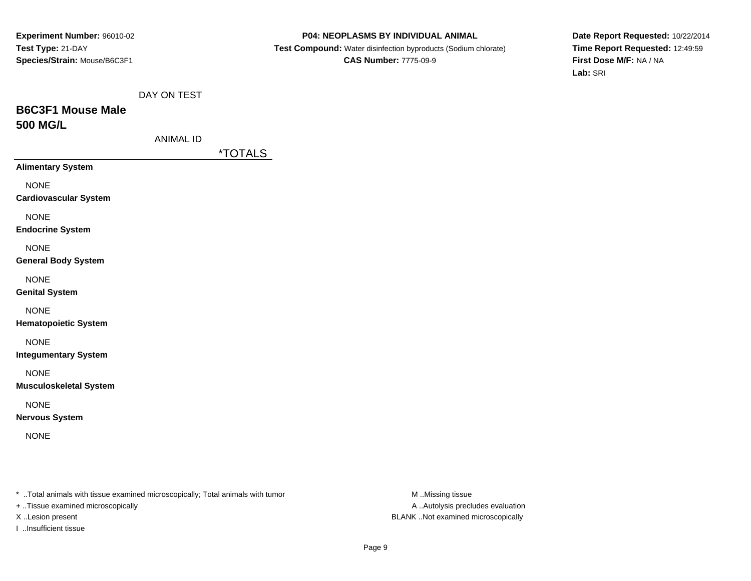#### **P04: NEOPLASMS BY INDIVIDUAL ANIMAL**

 **Test Compound:** Water disinfection byproducts (Sodium chlorate)**CAS Number:** 7775-09-9

**Date Report Requested:** 10/22/2014**Time Report Requested:** 12:49:59**First Dose M/F:** NA / NA**Lab:** SRI

# **B6C3F1 Mouse Male500 MG/L**

| ANIMAL ID |  |
|-----------|--|
|           |  |

\*TOTALS

**Alimentary System**

NONE

**Cardiovascular System**

NONE

**Endocrine System**

NONE

### **General Body System**

NONE

**Genital System**

NONE

**Hematopoietic System**

NONE

**Integumentary System**

NONE

**Musculoskeletal System**

# NONE

**Nervous System**

NONE

\* ..Total animals with tissue examined microscopically; Total animals with tumor **M** ..Missing tissue M ..Missing tissue

+ ..Tissue examined microscopically

I ..Insufficient tissue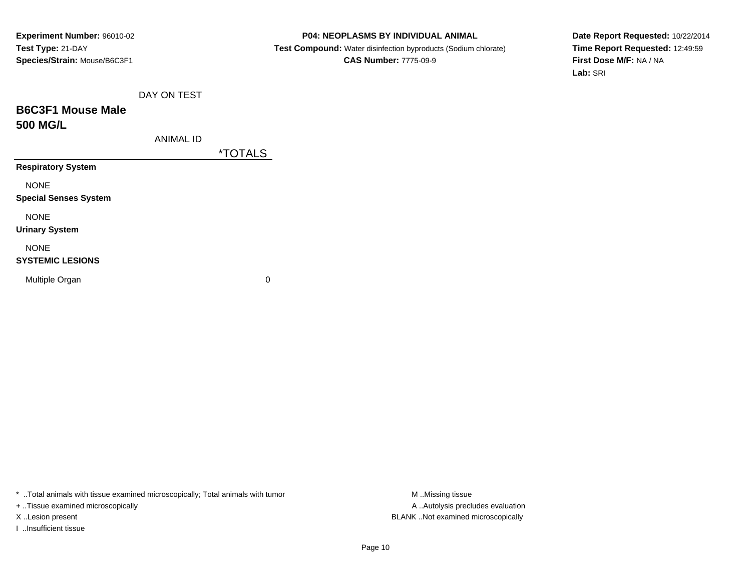#### **P04: NEOPLASMS BY INDIVIDUAL ANIMAL**

 **Test Compound:** Water disinfection byproducts (Sodium chlorate)**CAS Number:** 7775-09-9

**Date Report Requested:** 10/22/2014**Time Report Requested:** 12:49:59**First Dose M/F:** NA / NA**Lab:** SRI

# **B6C3F1 Mouse Male500 MG/L**

\*TOTALS

**Respiratory System**

NONE

**Special Senses System**

NONE

**Urinary System**

## NONE

#### **SYSTEMIC LESIONS**

Multiple Organ

 $\mathbf n$  0

\* ..Total animals with tissue examined microscopically; Total animals with tumor **M** ...Missing tissue M ...Missing tissue

+ ..Tissue examined microscopically

I ..Insufficient tissue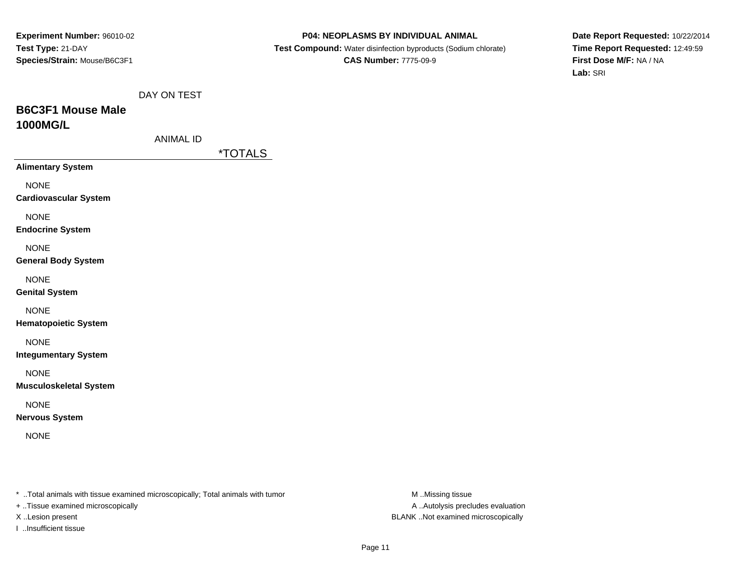#### **P04: NEOPLASMS BY INDIVIDUAL ANIMAL**

 **Test Compound:** Water disinfection byproducts (Sodium chlorate)**CAS Number:** 7775-09-9

**Date Report Requested:** 10/22/2014**Time Report Requested:** 12:49:59**First Dose M/F:** NA / NA**Lab:** SRI

# **B6C3F1 Mouse Male1000MG/L**

| ANIMAL ID |  |
|-----------|--|
|           |  |

\*TOTALS

**Alimentary System**

NONE

**Cardiovascular System**

NONE

**Endocrine System**

NONE

### **General Body System**

NONE

**Genital System**

## NONE

**Hematopoietic System**

# NONE

**Integumentary System**

NONE

**Musculoskeletal System**

# NONE

**Nervous System**

NONE

\* ..Total animals with tissue examined microscopically; Total animals with tumor **M** ..Missing tissue M ..Missing tissue

+ ..Tissue examined microscopically

I ..Insufficient tissue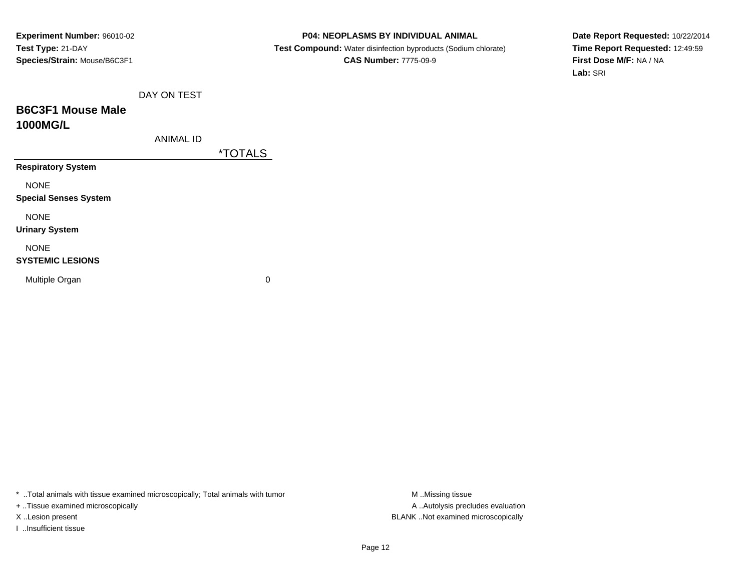#### **P04: NEOPLASMS BY INDIVIDUAL ANIMAL**

 **Test Compound:** Water disinfection byproducts (Sodium chlorate)**CAS Number:** 7775-09-9

**Date Report Requested:** 10/22/2014**Time Report Requested:** 12:49:59**First Dose M/F:** NA / NA**Lab:** SRI

|  | DAY ON TEST |  |
|--|-------------|--|
|  |             |  |

# **B6C3F1 Mouse Male1000MG/L**

| ANIMAL ID |  |
|-----------|--|
|           |  |

\*TOTALS

**Respiratory System**

NONE

**Special Senses System**

NONE

**Urinary System**

## NONE

### **SYSTEMIC LESIONS**

Multiple Organ

 $\mathbf n$  0

\* ..Total animals with tissue examined microscopically; Total animals with tumor **M** ...Missing tissue M ...Missing tissue

+ ..Tissue examined microscopically

I ..Insufficient tissue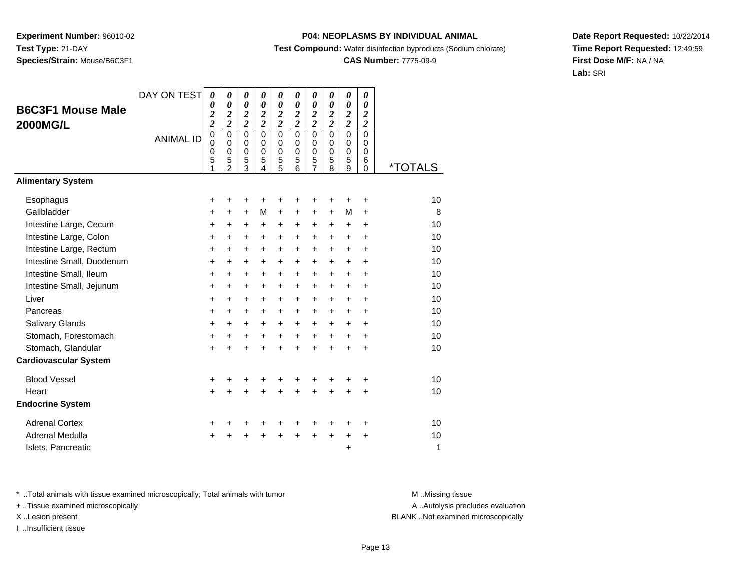## **P04: NEOPLASMS BY INDIVIDUAL ANIMAL**

**Test Compound:** Water disinfection byproducts (Sodium chlorate)

## **CAS Number:** 7775-09-9

**Date Report Requested:** 10/22/2014**Time Report Requested:** 12:49:59**First Dose M/F:** NA / NA**Lab:** SRI

| <b>B6C3F1 Mouse Male</b>     | DAY ON TEST      | 0<br>0<br>$\overline{\mathbf{c}}$                   | 0<br>$\boldsymbol{\theta}$<br>$\overline{\mathbf{c}}$ | 0<br>$\boldsymbol{\theta}$<br>$\boldsymbol{2}$ | 0<br>$\boldsymbol{\theta}$<br>$\overline{2}$               | $\theta$<br>0<br>$\overline{\mathbf{c}}$ | 0<br>0<br>$\boldsymbol{2}$                 | 0<br>0<br>$\boldsymbol{2}$      | 0<br>0<br>$\boldsymbol{2}$                    | 0<br>$\boldsymbol{\theta}$<br>$\overline{\mathbf{c}}$ | 0<br>0<br>$\boldsymbol{2}$                       |                       |
|------------------------------|------------------|-----------------------------------------------------|-------------------------------------------------------|------------------------------------------------|------------------------------------------------------------|------------------------------------------|--------------------------------------------|---------------------------------|-----------------------------------------------|-------------------------------------------------------|--------------------------------------------------|-----------------------|
| <b>2000MG/L</b>              |                  | $\overline{\mathbf{c}}$                             | $\overline{2}$                                        | $\overline{c}$                                 | $\overline{2}$                                             | $\overline{\mathbf{c}}$                  | $\overline{2}$                             | $\overline{\mathbf{c}}$         | $\overline{2}$                                | $\overline{\mathbf{c}}$                               | $\overline{\mathbf{c}}$                          |                       |
|                              | <b>ANIMAL ID</b> | $\mathbf 0$<br>$\mathbf 0$<br>$\mathbf 0$<br>5<br>1 | $\Omega$<br>$\Omega$<br>$\mathbf 0$<br>5<br>2         | $\Omega$<br>0<br>$\mathbf 0$<br>$\frac{5}{3}$  | $\Omega$<br>$\Omega$<br>$\mathbf 0$<br>5<br>$\overline{4}$ | $\mathbf 0$<br>0<br>0<br>$\frac{5}{5}$   | $\Omega$<br>$\Omega$<br>$\Omega$<br>5<br>6 | 0<br>0<br>$\mathbf 0$<br>5<br>7 | $\Omega$<br>$\Omega$<br>$\mathbf 0$<br>5<br>8 | $\mathbf 0$<br>0<br>$\mathbf 0$<br>5<br>9             | $\mathbf 0$<br>$\Omega$<br>$\mathbf 0$<br>6<br>0 | <i><b>*TOTALS</b></i> |
| <b>Alimentary System</b>     |                  |                                                     |                                                       |                                                |                                                            |                                          |                                            |                                 |                                               |                                                       |                                                  |                       |
| Esophagus                    |                  | +                                                   | +                                                     | +                                              | +                                                          | +                                        | +                                          | +                               |                                               | +                                                     | +                                                | 10                    |
| Gallbladder                  |                  | +                                                   | $\ddot{}$                                             | $\ddot{}$                                      | M                                                          | $\ddot{}$                                | +                                          | +                               | $\ddot{}$                                     | M                                                     | $\ddot{}$                                        | 8                     |
| Intestine Large, Cecum       |                  | $\ddot{}$                                           | +                                                     | $\ddot{}$                                      | $\ddot{}$                                                  | $\ddot{}$                                | $\ddot{}$                                  | +                               | $\ddot{}$                                     | $\ddot{}$                                             | $\ddot{}$                                        | 10                    |
| Intestine Large, Colon       |                  | $\ddot{}$                                           | $\ddot{}$                                             | $\ddot{}$                                      | $\ddot{}$                                                  | +                                        | $\ddot{}$                                  | +                               | $+$                                           | $\ddot{}$                                             | +                                                | 10                    |
| Intestine Large, Rectum      |                  | $\ddot{}$                                           | $\ddot{}$                                             | $\ddot{}$                                      | $\ddot{}$                                                  | $\ddot{}$                                | $\ddot{}$                                  | $\ddot{}$                       | $+$                                           | $+$                                                   | $\ddot{}$                                        | 10                    |
| Intestine Small, Duodenum    |                  | $\ddot{}$                                           | $\ddot{}$                                             | $\ddot{}$                                      | $\ddot{}$                                                  | $\ddot{}$                                | +                                          | +                               | +                                             | $\ddot{}$                                             | +                                                | 10                    |
| Intestine Small, Ileum       |                  | +                                                   | $\ddot{}$                                             | $\ddot{}$                                      | $\ddot{}$                                                  | $\ddot{}$                                | $\ddot{}$                                  | $\ddot{}$                       | $\ddot{}$                                     | $\ddot{}$                                             | $\ddot{}$                                        | 10                    |
| Intestine Small, Jejunum     |                  | $\ddot{}$                                           | $\ddot{}$                                             | $\ddot{}$                                      | $\ddot{}$                                                  | $\ddot{}$                                | $\ddot{}$                                  | $\ddot{}$                       | $\ddot{}$                                     | $\ddot{}$                                             | +                                                | 10                    |
| Liver                        |                  | $\ddot{}$                                           | $\ddot{}$                                             | $\ddot{}$                                      | $\ddot{}$                                                  | $\ddot{}$                                | $\ddot{}$                                  | $\ddot{}$                       | $+$                                           | $+$                                                   | $\ddot{}$                                        | 10                    |
| Pancreas                     |                  | $\ddot{}$                                           | $\ddot{}$                                             | $\ddot{}$                                      | $\ddot{}$                                                  | $\ddot{}$                                | $\ddot{}$                                  | $\ddot{}$                       | $\ddot{}$                                     | $\ddot{}$                                             | $\ddot{}$                                        | 10                    |
| Salivary Glands              |                  | $\ddot{}$                                           | $\ddot{}$                                             | $\ddot{}$                                      | $\ddot{}$                                                  | $\ddot{}$                                | $\ddot{}$                                  | $\ddot{}$                       | $+$                                           | $\ddot{}$                                             | $\ddot{}$                                        | 10                    |
| Stomach, Forestomach         |                  | $\ddot{}$                                           | $\ddot{}$                                             | $\ddot{}$                                      | $\ddot{}$                                                  | $\ddot{}$                                | $\ddot{}$                                  | $\ddot{}$                       | $+$                                           | $\ddot{}$                                             | $\ddot{}$                                        | 10                    |
| Stomach, Glandular           |                  | $\ddot{}$                                           | $\ddot{}$                                             | $\ddot{}$                                      | $\ddot{}$                                                  | $\ddot{}$                                | $\ddot{}$                                  | $\ddot{}$                       | $\ddot{}$                                     | $\ddot{}$                                             | $\ddot{}$                                        | 10                    |
| <b>Cardiovascular System</b> |                  |                                                     |                                                       |                                                |                                                            |                                          |                                            |                                 |                                               |                                                       |                                                  |                       |
| <b>Blood Vessel</b>          |                  | +                                                   | +                                                     | +                                              | +                                                          | +                                        | +                                          | +                               | +                                             | +                                                     | +                                                | 10                    |
| Heart                        |                  | $\ddot{}$                                           |                                                       | $\ddot{}$                                      |                                                            | $\ddot{}$                                | $\ddot{}$                                  | $\ddot{}$                       | $\ddot{}$                                     | +                                                     | $\ddot{}$                                        | 10                    |
| <b>Endocrine System</b>      |                  |                                                     |                                                       |                                                |                                                            |                                          |                                            |                                 |                                               |                                                       |                                                  |                       |
| <b>Adrenal Cortex</b>        |                  | +                                                   |                                                       |                                                |                                                            | +                                        | +                                          | +                               |                                               | ٠                                                     | +                                                | 10                    |
| Adrenal Medulla              |                  | $\ddot{}$                                           |                                                       |                                                |                                                            | ÷                                        | $\ddot{}$                                  | $\ddot{}$                       | $+$                                           | $\ddot{}$                                             | $\ddot{}$                                        | 10                    |
| Islets, Pancreatic           |                  |                                                     |                                                       |                                                |                                                            |                                          |                                            |                                 |                                               | +                                                     |                                                  | 1                     |

\* ..Total animals with tissue examined microscopically; Total animals with tumor **M** . Missing tissue M ..Missing tissue

+ ..Tissue examined microscopically

I ..Insufficient tissue

A ..Autolysis precludes evaluation

X ..Lesion present BLANK ..Not examined microscopically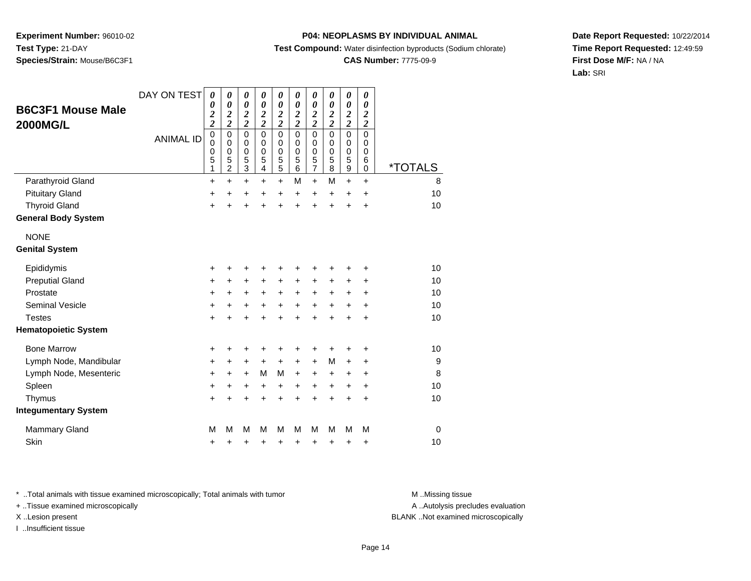### **P04: NEOPLASMS BY INDIVIDUAL ANIMAL**

**Test Compound:** Water disinfection byproducts (Sodium chlorate)

# **CAS Number:** 7775-09-9

**Date Report Requested:** 10/22/2014**Time Report Requested:** 12:49:59**First Dose M/F:** NA / NA**Lab:** SRI

| <b>B6C3F1 Mouse Male</b><br><b>2000MG/L</b> | DAY ON TEST<br><b>ANIMAL ID</b> | $\boldsymbol{\theta}$<br>0<br>$\overline{\mathbf{c}}$<br>$\overline{c}$<br>$\mathbf 0$<br>$\mathbf 0$<br>$\mathbf 0$ | $\boldsymbol{\theta}$<br>$\boldsymbol{\theta}$<br>$\boldsymbol{2}$<br>$\overline{\mathbf{c}}$<br>$\mathbf 0$<br>$\mathbf 0$<br>$\mathbf 0$ | 0<br>$\boldsymbol{\theta}$<br>$\boldsymbol{2}$<br>$\overline{2}$<br>$\mathbf 0$<br>$\mathbf 0$<br>$\mathbf 0$ | 0<br>$\boldsymbol{\theta}$<br>$\boldsymbol{2}$<br>$\overline{2}$<br>$\mathbf 0$<br>$\mathbf 0$<br>$\pmb{0}$ | $\boldsymbol{\theta}$<br>0<br>$\boldsymbol{2}$<br>$\overline{2}$<br>$\mathbf 0$<br>$\mathbf 0$<br>$\mathbf 0$ | 0<br>$\boldsymbol{\theta}$<br>$\boldsymbol{2}$<br>$\overline{\mathbf{c}}$<br>$\Omega$<br>$\Omega$<br>$\mathbf 0$ | 0<br>$\boldsymbol{\theta}$<br>$\boldsymbol{2}$<br>$\overline{\mathbf{c}}$<br>$\mathbf 0$<br>$\mathbf 0$<br>$\boldsymbol{0}$ | $\boldsymbol{\theta}$<br>$\boldsymbol{\theta}$<br>$\boldsymbol{2}$<br>$\overline{\mathbf{c}}$<br>$\mathbf 0$<br>$\mathbf 0$<br>0 | $\boldsymbol{\theta}$<br>0<br>$\boldsymbol{2}$<br>$\overline{2}$<br>$\mathbf 0$<br>$\mathbf 0$<br>0 | 0<br>$\pmb{\theta}$<br>$\boldsymbol{2}$<br>$\overline{2}$<br>$\mathbf 0$<br>$\mathbf 0$<br>0 |                       |
|---------------------------------------------|---------------------------------|----------------------------------------------------------------------------------------------------------------------|--------------------------------------------------------------------------------------------------------------------------------------------|---------------------------------------------------------------------------------------------------------------|-------------------------------------------------------------------------------------------------------------|---------------------------------------------------------------------------------------------------------------|------------------------------------------------------------------------------------------------------------------|-----------------------------------------------------------------------------------------------------------------------------|----------------------------------------------------------------------------------------------------------------------------------|-----------------------------------------------------------------------------------------------------|----------------------------------------------------------------------------------------------|-----------------------|
|                                             |                                 | 5<br>1                                                                                                               | 5<br>$\overline{2}$                                                                                                                        | $\frac{5}{3}$                                                                                                 | 5<br>$\overline{\mathbf{4}}$                                                                                | $\frac{5}{5}$                                                                                                 | 5<br>6                                                                                                           | $\frac{5}{7}$                                                                                                               | 5<br>$\overline{8}$                                                                                                              | 5<br>$\overline{9}$                                                                                 | 6<br>0                                                                                       | <i><b>*TOTALS</b></i> |
| Parathyroid Gland                           |                                 | $\ddot{}$                                                                                                            | $\ddot{}$                                                                                                                                  | $\ddot{}$                                                                                                     | $\ddot{}$                                                                                                   | $\ddot{}$                                                                                                     | M                                                                                                                | $\ddot{}$                                                                                                                   | M                                                                                                                                | $\ddot{}$                                                                                           | $\ddot{}$                                                                                    | 8                     |
| <b>Pituitary Gland</b>                      |                                 | +                                                                                                                    | $\ddot{}$                                                                                                                                  | +                                                                                                             | $\ddot{}$                                                                                                   | $\ddot{}$                                                                                                     | $\ddot{}$                                                                                                        | +                                                                                                                           | $\ddot{}$                                                                                                                        | +                                                                                                   | $\ddot{}$                                                                                    | 10                    |
| <b>Thyroid Gland</b>                        |                                 | $\ddot{}$                                                                                                            | +                                                                                                                                          | $\ddot{}$                                                                                                     | $\ddot{}$                                                                                                   | $\ddot{}$                                                                                                     | $\ddot{}$                                                                                                        | $\ddot{}$                                                                                                                   | $\ddot{}$                                                                                                                        | $\ddot{}$                                                                                           | $\ddot{}$                                                                                    | 10                    |
| <b>General Body System</b>                  |                                 |                                                                                                                      |                                                                                                                                            |                                                                                                               |                                                                                                             |                                                                                                               |                                                                                                                  |                                                                                                                             |                                                                                                                                  |                                                                                                     |                                                                                              |                       |
| <b>NONE</b>                                 |                                 |                                                                                                                      |                                                                                                                                            |                                                                                                               |                                                                                                             |                                                                                                               |                                                                                                                  |                                                                                                                             |                                                                                                                                  |                                                                                                     |                                                                                              |                       |
| <b>Genital System</b>                       |                                 |                                                                                                                      |                                                                                                                                            |                                                                                                               |                                                                                                             |                                                                                                               |                                                                                                                  |                                                                                                                             |                                                                                                                                  |                                                                                                     |                                                                                              |                       |
| Epididymis                                  |                                 | +                                                                                                                    | +                                                                                                                                          | +                                                                                                             | +                                                                                                           | +                                                                                                             | +                                                                                                                | +                                                                                                                           | +                                                                                                                                | +                                                                                                   | +                                                                                            | 10                    |
| <b>Preputial Gland</b>                      |                                 | +                                                                                                                    | $\ddot{}$                                                                                                                                  | $\ddot{}$                                                                                                     | $\ddot{}$                                                                                                   | $\ddot{}$                                                                                                     | $\ddot{}$                                                                                                        | +                                                                                                                           | +                                                                                                                                | +                                                                                                   | +                                                                                            | 10                    |
| Prostate                                    |                                 | +                                                                                                                    | +                                                                                                                                          | $\ddot{}$                                                                                                     | $\ddot{}$                                                                                                   | $\ddot{}$                                                                                                     | $\ddot{}$                                                                                                        | $\ddot{}$                                                                                                                   | $\ddot{}$                                                                                                                        | +                                                                                                   | +                                                                                            | 10                    |
| <b>Seminal Vesicle</b>                      |                                 | +                                                                                                                    | +                                                                                                                                          | +                                                                                                             | +                                                                                                           | $\ddot{}$                                                                                                     | $\ddot{}$                                                                                                        | +                                                                                                                           | $\ddot{}$                                                                                                                        | +                                                                                                   | +                                                                                            | 10                    |
| <b>Testes</b>                               |                                 | $\ddot{}$                                                                                                            |                                                                                                                                            | $\ddot{}$                                                                                                     | ÷                                                                                                           | $\ddot{}$                                                                                                     | $\ddot{}$                                                                                                        | $\ddot{}$                                                                                                                   | $\ddot{}$                                                                                                                        | $\ddot{}$                                                                                           | $\ddot{}$                                                                                    | 10                    |
| <b>Hematopoietic System</b>                 |                                 |                                                                                                                      |                                                                                                                                            |                                                                                                               |                                                                                                             |                                                                                                               |                                                                                                                  |                                                                                                                             |                                                                                                                                  |                                                                                                     |                                                                                              |                       |
| <b>Bone Marrow</b>                          |                                 | +                                                                                                                    | +                                                                                                                                          | +                                                                                                             |                                                                                                             | +                                                                                                             | +                                                                                                                | +                                                                                                                           |                                                                                                                                  |                                                                                                     | +                                                                                            | 10                    |
| Lymph Node, Mandibular                      |                                 | +                                                                                                                    | +                                                                                                                                          | +                                                                                                             | $\ddot{}$                                                                                                   | $\ddot{}$                                                                                                     | +                                                                                                                | +                                                                                                                           | м                                                                                                                                | +                                                                                                   | +                                                                                            | 9                     |
| Lymph Node, Mesenteric                      |                                 | +                                                                                                                    | +                                                                                                                                          | $\ddot{}$                                                                                                     | м                                                                                                           | M                                                                                                             | $\ddot{}$                                                                                                        | $\ddot{}$                                                                                                                   | $\ddot{}$                                                                                                                        | +                                                                                                   | +                                                                                            | 8                     |
| Spleen                                      |                                 | $\ddot{}$                                                                                                            | +                                                                                                                                          | +                                                                                                             | +                                                                                                           | $\ddot{}$                                                                                                     | $\ddot{}$                                                                                                        | +                                                                                                                           | $\ddot{}$                                                                                                                        | $\ddot{}$                                                                                           | $\ddot{}$                                                                                    | 10                    |
| Thymus                                      |                                 | $\ddot{}$                                                                                                            |                                                                                                                                            | $\ddot{}$                                                                                                     | $\ddot{}$                                                                                                   | $\ddot{}$                                                                                                     | $\ddot{}$                                                                                                        | $\ddot{}$                                                                                                                   | $\ddot{}$                                                                                                                        | $\ddot{}$                                                                                           | $\ddot{}$                                                                                    | 10                    |
| <b>Integumentary System</b>                 |                                 |                                                                                                                      |                                                                                                                                            |                                                                                                               |                                                                                                             |                                                                                                               |                                                                                                                  |                                                                                                                             |                                                                                                                                  |                                                                                                     |                                                                                              |                       |
| <b>Mammary Gland</b>                        |                                 | M                                                                                                                    | М                                                                                                                                          | M                                                                                                             | м                                                                                                           | M                                                                                                             | М                                                                                                                | М                                                                                                                           | м                                                                                                                                | M                                                                                                   | M                                                                                            | 0                     |
| Skin                                        |                                 | +                                                                                                                    | +                                                                                                                                          | +                                                                                                             | +                                                                                                           | +                                                                                                             | +                                                                                                                | +                                                                                                                           | +                                                                                                                                | +                                                                                                   | +                                                                                            | 10                    |

\* ..Total animals with tissue examined microscopically; Total animals with tumor **M** . Missing tissue M ..Missing tissue

+ ..Tissue examined microscopically

I ..Insufficient tissue

A ..Autolysis precludes evaluation

X ..Lesion present BLANK ..Not examined microscopically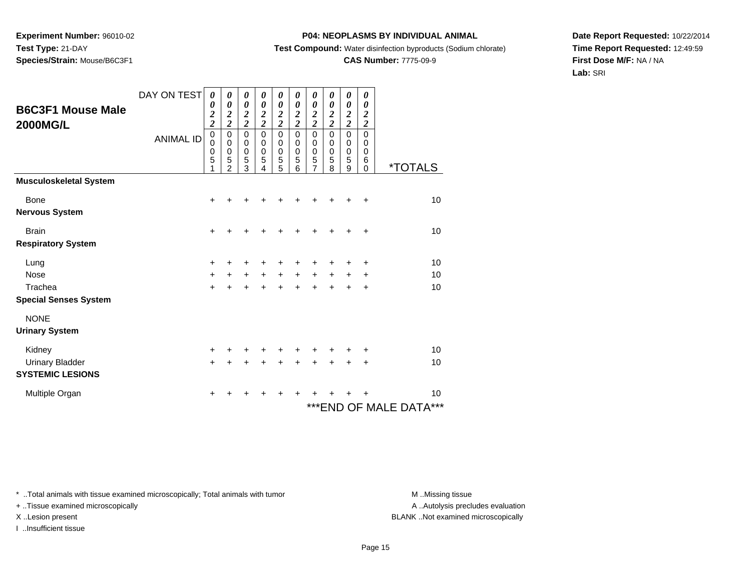## **P04: NEOPLASMS BY INDIVIDUAL ANIMAL**

**Test Compound:** Water disinfection byproducts (Sodium chlorate)

# **CAS Number:** 7775-09-9

**Date Report Requested:** 10/22/2014**Time Report Requested:** 12:49:59**First Dose M/F:** NA / NA**Lab:** SRI

| <b>B6C3F1 Mouse Male</b><br><b>2000MG/L</b> | DAY ON TEST<br><b>ANIMAL ID</b> | 0<br>0<br>$\frac{2}{2}$<br>$\mathbf 0$<br>$\mathbf 0$<br>0<br>5<br>1 | 0<br>$\boldsymbol{\theta}$<br>$\boldsymbol{2}$<br>$\overline{2}$<br>$\mathbf 0$<br>$\mathbf 0$<br>$\pmb{0}$<br>5<br>$\mathfrak{p}$ | 0<br>0<br>$\frac{2}{2}$<br>$\mathbf 0$<br>$\boldsymbol{0}$<br>$\pmb{0}$<br>5<br>3 | 0<br>0<br>$\boldsymbol{2}$<br>$\overline{2}$<br>$\mathbf 0$<br>0<br>$\mathbf 0$<br>5<br>4 | 0<br>0<br>$\frac{2}{2}$<br>0<br>0<br>$\begin{array}{c}\n0 \\ 5 \\ 5\n\end{array}$ | 0<br>$\boldsymbol{\theta}$<br>$\boldsymbol{2}$<br>$\overline{2}$<br>$\Omega$<br>0<br>$\mathbf 0$<br>5<br>6 | 0<br>$\boldsymbol{\theta}$<br>$\frac{2}{2}$<br>$\mathbf 0$<br>0<br>$\pmb{0}$<br>$\frac{5}{7}$ | 0<br>$\boldsymbol{\theta}$<br>$\boldsymbol{2}$<br>$\overline{c}$<br>$\Omega$<br>0<br>$\mathbf 0$<br>5<br>8 | 0<br>0<br>$\frac{2}{2}$<br>$\mathbf 0$<br>0<br>$\mathbf 0$<br>5<br>9 | 0<br>$\boldsymbol{\theta}$<br>$\boldsymbol{2}$<br>$\overline{\mathbf{c}}$<br>$\mathbf 0$<br>0<br>0<br>6<br>$\Omega$ | <i><b>*TOTALS</b></i>      |
|---------------------------------------------|---------------------------------|----------------------------------------------------------------------|------------------------------------------------------------------------------------------------------------------------------------|-----------------------------------------------------------------------------------|-------------------------------------------------------------------------------------------|-----------------------------------------------------------------------------------|------------------------------------------------------------------------------------------------------------|-----------------------------------------------------------------------------------------------|------------------------------------------------------------------------------------------------------------|----------------------------------------------------------------------|---------------------------------------------------------------------------------------------------------------------|----------------------------|
| <b>Musculoskeletal System</b>               |                                 |                                                                      |                                                                                                                                    |                                                                                   |                                                                                           |                                                                                   |                                                                                                            |                                                                                               |                                                                                                            |                                                                      |                                                                                                                     |                            |
| Bone                                        |                                 | +                                                                    | ÷                                                                                                                                  | +                                                                                 |                                                                                           |                                                                                   |                                                                                                            |                                                                                               |                                                                                                            |                                                                      | ÷                                                                                                                   | 10                         |
| <b>Nervous System</b>                       |                                 |                                                                      |                                                                                                                                    |                                                                                   |                                                                                           |                                                                                   |                                                                                                            |                                                                                               |                                                                                                            |                                                                      |                                                                                                                     |                            |
| <b>Brain</b>                                |                                 | $\ddot{}$                                                            | +                                                                                                                                  | +                                                                                 |                                                                                           |                                                                                   |                                                                                                            | +                                                                                             |                                                                                                            |                                                                      | ٠                                                                                                                   | 10                         |
| <b>Respiratory System</b>                   |                                 |                                                                      |                                                                                                                                    |                                                                                   |                                                                                           |                                                                                   |                                                                                                            |                                                                                               |                                                                                                            |                                                                      |                                                                                                                     |                            |
| Lung                                        |                                 | $\pm$                                                                | +                                                                                                                                  | +                                                                                 |                                                                                           |                                                                                   |                                                                                                            |                                                                                               |                                                                                                            |                                                                      | ٠                                                                                                                   | 10                         |
| <b>Nose</b>                                 |                                 | +                                                                    | $\ddot{}$                                                                                                                          | $\ddot{}$                                                                         | $+$                                                                                       | $\ddot{}$                                                                         | $+$                                                                                                        | $\ddot{}$                                                                                     | $\ddot{}$                                                                                                  | $\ddot{}$                                                            | ÷                                                                                                                   | 10                         |
| Trachea                                     |                                 | $+$                                                                  | $\ddot{}$                                                                                                                          | $\ddot{}$                                                                         | $\ddot{}$                                                                                 | $\ddot{}$                                                                         | $\ddot{}$                                                                                                  | $\ddot{}$                                                                                     | $\ddot{}$                                                                                                  |                                                                      | $\ddot{}$                                                                                                           | 10                         |
| <b>Special Senses System</b>                |                                 |                                                                      |                                                                                                                                    |                                                                                   |                                                                                           |                                                                                   |                                                                                                            |                                                                                               |                                                                                                            |                                                                      |                                                                                                                     |                            |
| <b>NONE</b>                                 |                                 |                                                                      |                                                                                                                                    |                                                                                   |                                                                                           |                                                                                   |                                                                                                            |                                                                                               |                                                                                                            |                                                                      |                                                                                                                     |                            |
| <b>Urinary System</b>                       |                                 |                                                                      |                                                                                                                                    |                                                                                   |                                                                                           |                                                                                   |                                                                                                            |                                                                                               |                                                                                                            |                                                                      |                                                                                                                     |                            |
| Kidney                                      |                                 | +                                                                    | +                                                                                                                                  | +                                                                                 |                                                                                           |                                                                                   |                                                                                                            |                                                                                               |                                                                                                            |                                                                      | ÷                                                                                                                   | 10                         |
| <b>Urinary Bladder</b>                      |                                 | $\ddot{}$                                                            | +                                                                                                                                  | $\ddot{}$                                                                         |                                                                                           | +                                                                                 |                                                                                                            |                                                                                               |                                                                                                            |                                                                      | ٠                                                                                                                   | 10                         |
| <b>SYSTEMIC LESIONS</b>                     |                                 |                                                                      |                                                                                                                                    |                                                                                   |                                                                                           |                                                                                   |                                                                                                            |                                                                                               |                                                                                                            |                                                                      |                                                                                                                     |                            |
| Multiple Organ                              |                                 | +                                                                    | +                                                                                                                                  | +                                                                                 |                                                                                           | +                                                                                 | ٠                                                                                                          |                                                                                               |                                                                                                            |                                                                      |                                                                                                                     | 10                         |
|                                             |                                 |                                                                      |                                                                                                                                    |                                                                                   |                                                                                           |                                                                                   |                                                                                                            |                                                                                               |                                                                                                            |                                                                      |                                                                                                                     | ***<br>***END OF MALE DATA |

\* ..Total animals with tissue examined microscopically; Total animals with tumor **M** . Missing tissue M ..Missing tissue

+ ..Tissue examined microscopically

I ..Insufficient tissue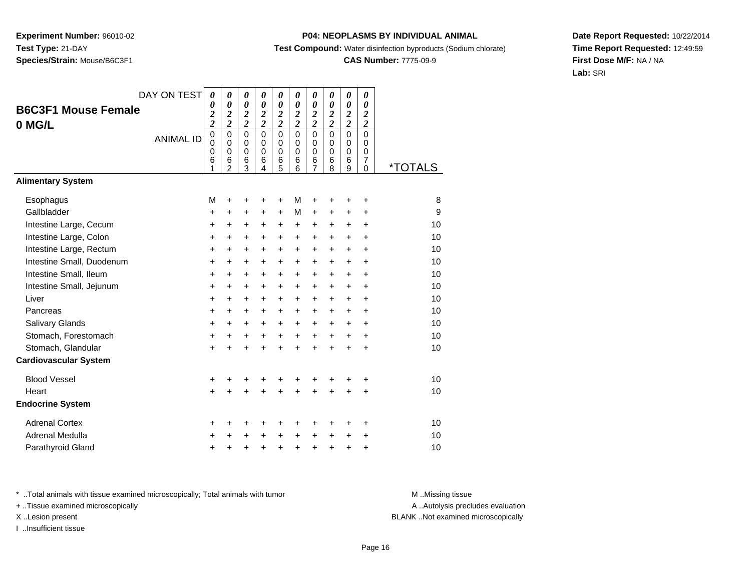## **P04: NEOPLASMS BY INDIVIDUAL ANIMAL**

**Test Compound:** Water disinfection byproducts (Sodium chlorate)

## **CAS Number:** 7775-09-9

**Date Report Requested:** 10/22/2014**Time Report Requested:** 12:49:59**First Dose M/F:** NA / NA**Lab:** SRI

| <b>B6C3F1 Mouse Female</b><br>0 MG/L | DAY ON TEST<br><b>ANIMAL ID</b> | $\boldsymbol{\theta}$<br>$\boldsymbol{\theta}$<br>$\overline{\mathbf{c}}$<br>$\overline{\mathbf{c}}$<br>$\mathbf 0$<br>$\mathbf 0$<br>0<br>6 | 0<br>$\boldsymbol{\theta}$<br>$\frac{2}{2}$<br>$\mathbf 0$<br>$\mathbf 0$<br>$\mathbf 0$<br>6 | 0<br>$\boldsymbol{\theta}$<br>$\overline{\mathbf{c}}$<br>$\overline{\mathbf{c}}$<br>$\mathbf 0$<br>$\mathbf 0$<br>0<br>6 | 0<br>$\boldsymbol{\theta}$<br>$\frac{2}{2}$<br>$\Omega$<br>$\Omega$<br>$\Omega$<br>6 | 0<br>$\boldsymbol{\theta}$<br>$\boldsymbol{2}$<br>$\overline{2}$<br>$\Omega$<br>$\mathbf 0$<br>0<br>6 | 0<br>$\boldsymbol{\theta}$<br>$\frac{2}{2}$<br>$\Omega$<br>$\mathbf 0$<br>0<br>6 | 0<br>$\boldsymbol{\theta}$<br>$\frac{2}{2}$<br>$\mathbf 0$<br>$\mathbf 0$<br>0<br>6 | 0<br>$\boldsymbol{\theta}$<br>$\frac{2}{2}$<br>0<br>$\mathbf 0$<br>0<br>6 | 0<br>$\boldsymbol{\theta}$<br>$\overline{\mathbf{c}}$<br>$\bar{2}$<br>$\overline{0}$<br>0<br>0<br>6 | 0<br>0<br>$\overline{2}$<br>$\overline{c}$<br>$\overline{0}$<br>$\mathbf 0$<br>0<br>7 |                       |
|--------------------------------------|---------------------------------|----------------------------------------------------------------------------------------------------------------------------------------------|-----------------------------------------------------------------------------------------------|--------------------------------------------------------------------------------------------------------------------------|--------------------------------------------------------------------------------------|-------------------------------------------------------------------------------------------------------|----------------------------------------------------------------------------------|-------------------------------------------------------------------------------------|---------------------------------------------------------------------------|-----------------------------------------------------------------------------------------------------|---------------------------------------------------------------------------------------|-----------------------|
| <b>Alimentary System</b>             |                                 | 1                                                                                                                                            | $\mathfrak{p}$                                                                                | $\overline{3}$                                                                                                           | 4                                                                                    | 5                                                                                                     | 6                                                                                | $\overline{7}$                                                                      | 8                                                                         | 9                                                                                                   | $\Omega$                                                                              | <i><b>*TOTALS</b></i> |
|                                      |                                 |                                                                                                                                              |                                                                                               |                                                                                                                          |                                                                                      |                                                                                                       |                                                                                  |                                                                                     |                                                                           |                                                                                                     |                                                                                       |                       |
| Esophagus                            |                                 | M                                                                                                                                            | +                                                                                             | +                                                                                                                        | +                                                                                    | +                                                                                                     | М                                                                                | +                                                                                   | +                                                                         | +                                                                                                   | +                                                                                     | 8                     |
| Gallbladder                          |                                 | $\ddot{}$                                                                                                                                    | +                                                                                             | +                                                                                                                        | +                                                                                    | +                                                                                                     | М                                                                                | $\ddot{}$                                                                           | +                                                                         | +                                                                                                   | $\ddot{}$                                                                             | 9                     |
| Intestine Large, Cecum               |                                 | $\ddot{}$                                                                                                                                    | $\ddot{}$                                                                                     | $\ddot{}$                                                                                                                | +                                                                                    | $\ddot{}$                                                                                             | $\ddot{}$                                                                        | $\ddot{}$                                                                           | +                                                                         | $\ddot{}$                                                                                           | $\ddot{}$                                                                             | 10                    |
| Intestine Large, Colon               |                                 | $\ddot{}$                                                                                                                                    | $\ddot{}$                                                                                     | $\ddot{}$                                                                                                                | $\ddot{}$                                                                            | $\ddot{}$                                                                                             | $\ddot{}$                                                                        | $\ddot{}$                                                                           | $\ddot{}$                                                                 | $\ddot{}$                                                                                           | $\ddot{}$                                                                             | 10                    |
| Intestine Large, Rectum              |                                 | $\ddot{}$                                                                                                                                    | $\ddot{}$                                                                                     | +                                                                                                                        | $\ddot{}$                                                                            | $\ddot{}$                                                                                             | $\ddot{}$                                                                        | $\ddot{}$                                                                           | $\ddot{}$                                                                 | $\ddot{}$                                                                                           | $\ddot{}$                                                                             | 10                    |
| Intestine Small, Duodenum            |                                 | $\ddot{}$                                                                                                                                    | $\ddot{}$                                                                                     | +                                                                                                                        | $\ddot{}$                                                                            | $\ddot{}$                                                                                             | $\ddot{}$                                                                        | $\ddot{}$                                                                           | $\ddot{}$                                                                 | $\ddot{}$                                                                                           | $\ddot{}$                                                                             | 10                    |
| Intestine Small, Ileum               |                                 | $\ddot{}$                                                                                                                                    | $\ddot{}$                                                                                     | +                                                                                                                        | +                                                                                    | $\ddot{}$                                                                                             | $\ddot{}$                                                                        | $\ddot{}$                                                                           | +                                                                         | +                                                                                                   | $\ddot{}$                                                                             | 10                    |
| Intestine Small, Jejunum             |                                 | $\ddot{}$                                                                                                                                    | +                                                                                             | $\pm$                                                                                                                    | +                                                                                    | $\ddot{}$                                                                                             | $\ddot{}$                                                                        | $\ddot{}$                                                                           | $\pm$                                                                     | $\pm$                                                                                               | +                                                                                     | 10                    |
| Liver                                |                                 | $\ddot{}$                                                                                                                                    | $\ddot{}$                                                                                     | +                                                                                                                        | $\ddot{}$                                                                            | $\ddot{}$                                                                                             | $\ddot{}$                                                                        | $\ddot{}$                                                                           | $\ddot{}$                                                                 | $\ddot{}$                                                                                           | $\ddot{}$                                                                             | 10                    |
| Pancreas                             |                                 | $\ddot{}$                                                                                                                                    | +                                                                                             | +                                                                                                                        | $\ddot{}$                                                                            | $\ddot{}$                                                                                             | $\ddot{}$                                                                        | $\ddot{}$                                                                           | $\ddot{}$                                                                 | $\ddot{}$                                                                                           | $\ddot{}$                                                                             | 10                    |
| Salivary Glands                      |                                 | $\ddot{}$                                                                                                                                    | $\ddot{}$                                                                                     | $\ddot{}$                                                                                                                | $\ddot{}$                                                                            | $\ddot{}$                                                                                             | $\ddot{}$                                                                        | $\ddot{}$                                                                           | +                                                                         | +                                                                                                   | $\ddot{}$                                                                             | 10                    |
| Stomach, Forestomach                 |                                 | $\ddot{}$                                                                                                                                    | +                                                                                             | +                                                                                                                        | $\ddot{}$                                                                            | $\ddot{}$                                                                                             | $\ddot{}$                                                                        | $\ddot{}$                                                                           | $\ddot{}$                                                                 | +                                                                                                   | $\ddot{}$                                                                             | 10                    |
| Stomach, Glandular                   |                                 | $\ddot{}$                                                                                                                                    |                                                                                               | $\ddot{}$                                                                                                                | $\ddot{}$                                                                            | $\ddot{}$                                                                                             | $\ddot{}$                                                                        | $\ddot{}$                                                                           | $\ddot{}$                                                                 | $\ddot{}$                                                                                           | $\ddot{}$                                                                             | 10                    |
| <b>Cardiovascular System</b>         |                                 |                                                                                                                                              |                                                                                               |                                                                                                                          |                                                                                      |                                                                                                       |                                                                                  |                                                                                     |                                                                           |                                                                                                     |                                                                                       |                       |
| <b>Blood Vessel</b>                  |                                 | $\ddot{}$                                                                                                                                    | +                                                                                             | +                                                                                                                        | +                                                                                    | +                                                                                                     | +                                                                                | +                                                                                   | +                                                                         | +                                                                                                   | +                                                                                     | 10                    |
| Heart                                |                                 | $\ddot{}$                                                                                                                                    |                                                                                               | $\ddot{}$                                                                                                                |                                                                                      | $\ddot{}$                                                                                             |                                                                                  | $\ddot{}$                                                                           | $\ddot{}$                                                                 | $\ddot{}$                                                                                           | $\ddot{}$                                                                             | 10                    |
| <b>Endocrine System</b>              |                                 |                                                                                                                                              |                                                                                               |                                                                                                                          |                                                                                      |                                                                                                       |                                                                                  |                                                                                     |                                                                           |                                                                                                     |                                                                                       |                       |
| <b>Adrenal Cortex</b>                |                                 | +                                                                                                                                            | ٠                                                                                             | +                                                                                                                        | +                                                                                    | +                                                                                                     | ٠                                                                                | +                                                                                   | +                                                                         | ٠                                                                                                   | ÷                                                                                     | 10                    |
| Adrenal Medulla                      |                                 | $\ddot{}$                                                                                                                                    |                                                                                               | +                                                                                                                        | $\ddot{}$                                                                            | $\ddot{}$                                                                                             | $\ddot{}$                                                                        | $\ddot{}$                                                                           | $\ddot{}$                                                                 | +                                                                                                   | +                                                                                     | 10                    |
| Parathyroid Gland                    |                                 | +                                                                                                                                            | +                                                                                             | +                                                                                                                        | +                                                                                    | $\ddot{}$                                                                                             | $\ddot{}$                                                                        | $\ddot{}$                                                                           | +                                                                         | +                                                                                                   | +                                                                                     | 10                    |

\* ..Total animals with tissue examined microscopically; Total animals with tumor **M** . Missing tissue M ..Missing tissue

+ ..Tissue examined microscopically

I ..Insufficient tissue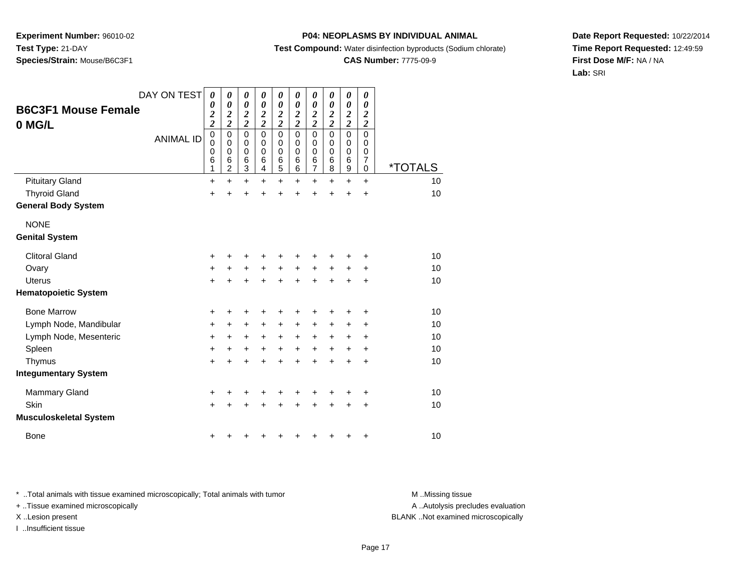## **P04: NEOPLASMS BY INDIVIDUAL ANIMAL**

**Test Compound:** Water disinfection byproducts (Sodium chlorate)

# **CAS Number:** 7775-09-9

**Date Report Requested:** 10/22/2014**Time Report Requested:** 12:49:59**First Dose M/F:** NA / NA**Lab:** SRI

| <b>B6C3F1 Mouse Female</b><br>0 MG/L | DAY ON TEST      | $\boldsymbol{\theta}$<br>0<br>$\overline{\mathbf{c}}$<br>$\overline{c}$ | 0<br>$\boldsymbol{\theta}$<br>$\boldsymbol{2}$<br>$\overline{2}$ | 0<br>$\boldsymbol{\theta}$<br>$\frac{2}{2}$ | $\boldsymbol{\theta}$<br>$\boldsymbol{\theta}$<br>$\frac{2}{2}$ | 0<br>0<br>$\frac{2}{2}$                                        | 0<br>0<br>$\frac{2}{2}$                   | 0<br>$\boldsymbol{\theta}$<br>$\frac{2}{2}$ | 0<br>0<br>$\boldsymbol{2}$<br>$\overline{2}$ | 0<br>$\boldsymbol{\theta}$<br>$\boldsymbol{2}$<br>$\overline{2}$ | 0<br>0<br>$\overline{2}$<br>$\overline{\mathbf{c}}$ |                       |
|--------------------------------------|------------------|-------------------------------------------------------------------------|------------------------------------------------------------------|---------------------------------------------|-----------------------------------------------------------------|----------------------------------------------------------------|-------------------------------------------|---------------------------------------------|----------------------------------------------|------------------------------------------------------------------|-----------------------------------------------------|-----------------------|
|                                      | <b>ANIMAL ID</b> | $\mathbf 0$<br>0<br>0<br>6<br>1                                         | 0<br>0<br>$\mathbf 0$<br>6<br>$\overline{2}$                     | $\mathbf 0$<br>0<br>$\mathbf 0$<br>6<br>3   | $\mathbf 0$<br>$\mathbf 0$<br>$\mathbf 0$<br>6<br>4             | $\mathbf 0$<br>0<br>0<br>$\begin{array}{c} 6 \\ 5 \end{array}$ | $\mathbf 0$<br>0<br>$\mathbf 0$<br>6<br>6 | $\mathbf 0$<br>0<br>$\mathbf 0$<br>6<br>7   | $\mathbf 0$<br>0<br>0<br>6<br>8              | $\mathbf 0$<br>0<br>$\mathbf 0$<br>6<br>9                        | $\mathbf 0$<br>0<br>0<br>$\overline{7}$<br>0        | <i><b>*TOTALS</b></i> |
| <b>Pituitary Gland</b>               |                  | +                                                                       | $\ddot{}$                                                        | $\ddot{}$                                   | $+$                                                             | $\ddot{}$                                                      | $\ddot{}$                                 | $\ddot{}$                                   | $\ddot{}$                                    | $\ddot{}$                                                        | $\ddot{}$                                           | 10                    |
| <b>Thyroid Gland</b>                 |                  | $\ddot{}$                                                               | $\ddot{}$                                                        | $\ddot{}$                                   | $\ddot{}$                                                       | $\ddot{}$                                                      | $\ddot{}$                                 | $\ddot{}$                                   | $\ddot{}$                                    | $\ddot{}$                                                        | $\ddot{}$                                           | 10                    |
| <b>General Body System</b>           |                  |                                                                         |                                                                  |                                             |                                                                 |                                                                |                                           |                                             |                                              |                                                                  |                                                     |                       |
| <b>NONE</b>                          |                  |                                                                         |                                                                  |                                             |                                                                 |                                                                |                                           |                                             |                                              |                                                                  |                                                     |                       |
| <b>Genital System</b>                |                  |                                                                         |                                                                  |                                             |                                                                 |                                                                |                                           |                                             |                                              |                                                                  |                                                     |                       |
| <b>Clitoral Gland</b>                |                  | +                                                                       | +                                                                | +                                           | ٠                                                               | ٠                                                              | +                                         | +                                           |                                              |                                                                  | ٠                                                   | 10                    |
| Ovary                                |                  | $\ddot{}$                                                               | $\ddot{}$                                                        | $\ddot{}$                                   | $+$                                                             | $+$                                                            | $\ddot{}$                                 | $\pm$                                       | $\ddot{}$                                    | $\pm$                                                            | $\ddot{}$                                           | 10                    |
| Uterus                               |                  | $\ddot{}$                                                               | +                                                                | $\ddot{}$                                   | $\div$                                                          | $\div$                                                         | ÷                                         | +                                           | ÷                                            | +                                                                | ÷                                                   | 10                    |
| <b>Hematopoietic System</b>          |                  |                                                                         |                                                                  |                                             |                                                                 |                                                                |                                           |                                             |                                              |                                                                  |                                                     |                       |
| <b>Bone Marrow</b>                   |                  | +                                                                       | +                                                                | +                                           | ÷                                                               | ÷                                                              | +                                         | +                                           | +                                            |                                                                  | ÷                                                   | 10                    |
| Lymph Node, Mandibular               |                  | +                                                                       | $\ddot{}$                                                        | +                                           | $\ddot{}$                                                       | $\ddot{}$                                                      | +                                         | +                                           | +                                            | +                                                                | +                                                   | 10                    |
| Lymph Node, Mesenteric               |                  | +                                                                       | +                                                                | $\ddot{}$                                   | $+$                                                             | $\ddot{}$                                                      | $\ddot{}$                                 | $\ddot{}$                                   | $\ddot{}$                                    | $\ddot{}$                                                        | ÷                                                   | 10                    |
| Spleen                               |                  | $\ddot{}$                                                               | $\ddot{}$                                                        | $\ddot{}$                                   | $\ddot{}$                                                       | $\ddot{}$                                                      | $\ddot{}$                                 | $\ddot{}$                                   | $\ddot{}$                                    | +                                                                | +                                                   | 10                    |
| Thymus                               |                  | $\ddot{}$                                                               | $\ddot{}$                                                        | $\ddot{}$                                   | $\ddot{}$                                                       | $\ddot{}$                                                      | ÷                                         | $\ddot{}$                                   | $\ddot{}$                                    | $\ddot{}$                                                        | $\ddot{}$                                           | 10                    |
| <b>Integumentary System</b>          |                  |                                                                         |                                                                  |                                             |                                                                 |                                                                |                                           |                                             |                                              |                                                                  |                                                     |                       |
| <b>Mammary Gland</b>                 |                  | +                                                                       | +                                                                | +                                           |                                                                 |                                                                |                                           |                                             |                                              |                                                                  | ÷                                                   | 10                    |
| Skin                                 |                  | $\ddot{}$                                                               | $\ddot{}$                                                        | $\ddot{}$                                   | $\div$                                                          | $\pm$                                                          | +                                         | +                                           | ÷                                            | +                                                                | $\ddot{}$                                           | 10                    |
| <b>Musculoskeletal System</b>        |                  |                                                                         |                                                                  |                                             |                                                                 |                                                                |                                           |                                             |                                              |                                                                  |                                                     |                       |
| <b>Bone</b>                          |                  | +                                                                       | +                                                                | +                                           |                                                                 | +                                                              | ٠                                         | +                                           | ٠                                            | +                                                                | +                                                   | 10                    |

\* ..Total animals with tissue examined microscopically; Total animals with tumor **M** . Missing tissue M ..Missing tissue

+ ..Tissue examined microscopically

I ..Insufficient tissue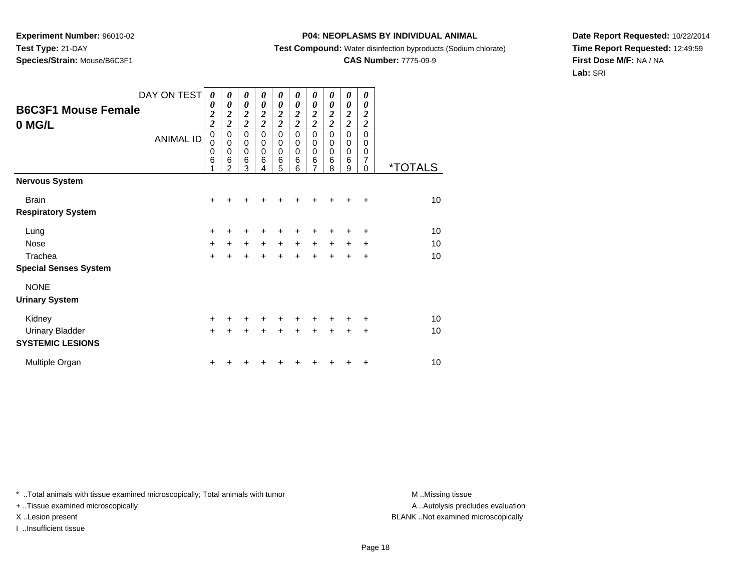## **P04: NEOPLASMS BY INDIVIDUAL ANIMAL**

**Test Compound:** Water disinfection byproducts (Sodium chlorate)

# **CAS Number:** 7775-09-9

**Date Report Requested:** 10/22/2014**Time Report Requested:** 12:49:59**First Dose M/F:** NA / NA**Lab:** SRI

| <b>B6C3F1 Mouse Female</b><br>0 MG/L | DAY ON TEST<br><b>ANIMAL ID</b> | 0<br>0<br>$\overline{\mathbf{c}}$<br>$\overline{\mathbf{c}}$<br>$\mathbf 0$<br>$\mathbf 0$<br>$\mathbf 0$<br>6<br>1 | 0<br>0<br>$\boldsymbol{2}$<br>$\overline{\mathbf{c}}$<br>$\mathbf 0$<br>$\mathbf 0$<br>$\mathbf 0$<br>6<br>$\overline{2}$ | 0<br>0<br>$\overline{2}$<br>$\overline{2}$<br>$\pmb{0}$<br>0<br>0<br>6<br>3 | 0<br>0<br>2<br>$\overline{\mathbf{c}}$<br>$\mathbf 0$<br>$\mathbf 0$<br>$\Omega$<br>6<br>4 | 0<br>$\boldsymbol{\theta}$<br>$\boldsymbol{2}$<br>$\overline{c}$<br>$\mathbf 0$<br>0<br>0<br>6<br>5 | 0<br>0<br>$\boldsymbol{2}$<br>$\overline{2}$<br>0<br>0<br>$\mathbf 0$<br>6<br>6 | 0<br>0<br>$\overline{\mathbf{c}}$<br>$\overline{2}$<br>$\mathbf 0$<br>0<br>0<br>6<br>7 | 0<br>$\boldsymbol{\theta}$<br>2<br>$\overline{2}$<br>0<br>0<br>$\mathbf 0$<br>6<br>8 | 0<br>0<br>$\boldsymbol{2}$<br>$\overline{c}$<br>0<br>0<br>0<br>6<br>9 | 0<br>0<br>2<br>$\boldsymbol{2}$<br>$\Omega$<br>0<br>0<br>7<br>$\Omega$ | <i><b>*TOTALS</b></i> |
|--------------------------------------|---------------------------------|---------------------------------------------------------------------------------------------------------------------|---------------------------------------------------------------------------------------------------------------------------|-----------------------------------------------------------------------------|--------------------------------------------------------------------------------------------|-----------------------------------------------------------------------------------------------------|---------------------------------------------------------------------------------|----------------------------------------------------------------------------------------|--------------------------------------------------------------------------------------|-----------------------------------------------------------------------|------------------------------------------------------------------------|-----------------------|
| <b>Nervous System</b>                |                                 |                                                                                                                     |                                                                                                                           |                                                                             |                                                                                            |                                                                                                     |                                                                                 |                                                                                        |                                                                                      |                                                                       |                                                                        |                       |
| <b>Brain</b>                         |                                 | $\ddot{}$                                                                                                           |                                                                                                                           | +                                                                           | ┿                                                                                          | +                                                                                                   |                                                                                 |                                                                                        |                                                                                      |                                                                       | ÷                                                                      | 10                    |
| <b>Respiratory System</b>            |                                 |                                                                                                                     |                                                                                                                           |                                                                             |                                                                                            |                                                                                                     |                                                                                 |                                                                                        |                                                                                      |                                                                       |                                                                        |                       |
| Lung                                 |                                 | +                                                                                                                   |                                                                                                                           | +                                                                           | +                                                                                          | +                                                                                                   |                                                                                 |                                                                                        |                                                                                      | +                                                                     | ÷                                                                      | 10                    |
| <b>Nose</b>                          |                                 | $+$                                                                                                                 | +                                                                                                                         | $\ddot{}$                                                                   | $\ddot{}$                                                                                  | $\ddot{}$                                                                                           | $+$                                                                             | $\ddot{}$                                                                              | $\ddot{}$                                                                            | $+$                                                                   | $\ddot{}$                                                              | 10                    |
| Trachea                              |                                 | $\ddot{}$                                                                                                           | ÷                                                                                                                         | $\ddot{}$                                                                   | $\ddot{}$                                                                                  | $\ddot{}$                                                                                           | $\ddot{}$                                                                       | $\ddot{}$                                                                              | $\ddot{}$                                                                            | $\ddot{}$                                                             | $\ddot{}$                                                              | 10                    |
| <b>Special Senses System</b>         |                                 |                                                                                                                     |                                                                                                                           |                                                                             |                                                                                            |                                                                                                     |                                                                                 |                                                                                        |                                                                                      |                                                                       |                                                                        |                       |
| <b>NONE</b>                          |                                 |                                                                                                                     |                                                                                                                           |                                                                             |                                                                                            |                                                                                                     |                                                                                 |                                                                                        |                                                                                      |                                                                       |                                                                        |                       |
| <b>Urinary System</b>                |                                 |                                                                                                                     |                                                                                                                           |                                                                             |                                                                                            |                                                                                                     |                                                                                 |                                                                                        |                                                                                      |                                                                       |                                                                        |                       |
| Kidney                               |                                 | $\ddot{}$                                                                                                           | +                                                                                                                         | ٠                                                                           | ٠                                                                                          | $\ddot{}$                                                                                           | $\ddot{}$                                                                       | $\pm$                                                                                  | $\pm$                                                                                | ÷                                                                     | ÷                                                                      | 10                    |
| <b>Urinary Bladder</b>               |                                 | $\ddot{}$                                                                                                           | $\ddot{}$                                                                                                                 | $\ddot{}$                                                                   | $\ddot{}$                                                                                  | $\ddot{}$                                                                                           | $\ddot{}$                                                                       | $\ddot{}$                                                                              | $+$                                                                                  | $\ddot{}$                                                             | $\ddot{}$                                                              | 10                    |
| <b>SYSTEMIC LESIONS</b>              |                                 |                                                                                                                     |                                                                                                                           |                                                                             |                                                                                            |                                                                                                     |                                                                                 |                                                                                        |                                                                                      |                                                                       |                                                                        |                       |
| Multiple Organ                       |                                 | ٠                                                                                                                   |                                                                                                                           |                                                                             |                                                                                            |                                                                                                     |                                                                                 |                                                                                        |                                                                                      |                                                                       | ÷                                                                      | 10                    |

\* ..Total animals with tissue examined microscopically; Total animals with tumor **M** . Missing tissue M ..Missing tissue

+ ..Tissue examined microscopically

I ..Insufficient tissue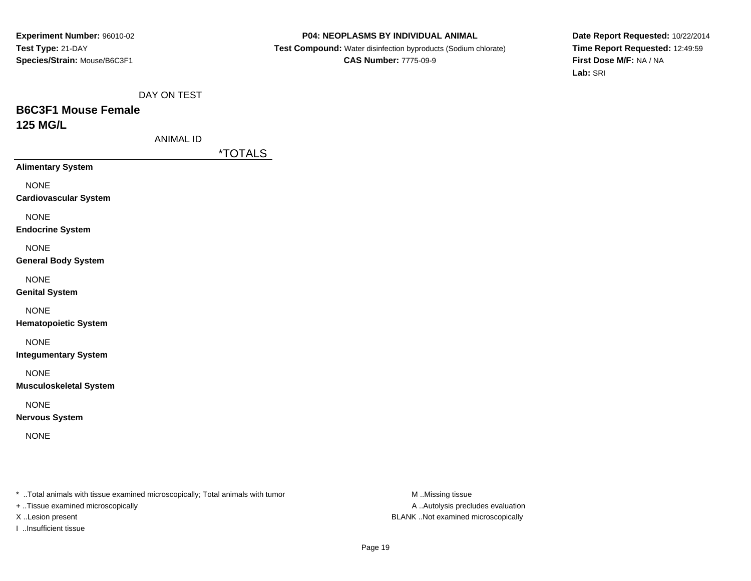### **P04: NEOPLASMS BY INDIVIDUAL ANIMAL**

 **Test Compound:** Water disinfection byproducts (Sodium chlorate)**CAS Number:** 7775-09-9

**Date Report Requested:** 10/22/2014**Time Report Requested:** 12:49:59**First Dose M/F:** NA / NA**Lab:** SRI

DAY ON TEST

# **B6C3F1 Mouse Female125 MG/L**

ANIMAL ID

\*TOTALS

**Alimentary System**

NONE

**Cardiovascular System**

NONE

**Endocrine System**

NONE

**General Body System**

NONE

**Genital System**

NONE

**Hematopoietic System**

NONE

**Integumentary System**

NONE

**Musculoskeletal System**

NONE

**Nervous System**

NONE

\* ..Total animals with tissue examined microscopically; Total animals with tumor **M** ..Missing tissue M ..Missing tissue

+ ..Tissue examined microscopically

I ..Insufficient tissue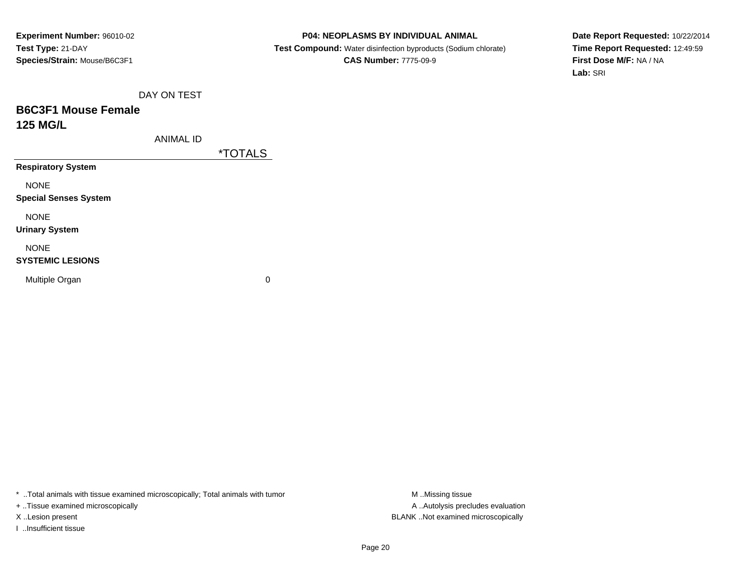#### **P04: NEOPLASMS BY INDIVIDUAL ANIMAL**

 **Test Compound:** Water disinfection byproducts (Sodium chlorate)**CAS Number:** 7775-09-9

**Date Report Requested:** 10/22/2014**Time Report Requested:** 12:49:59**First Dose M/F:** NA / NA**Lab:** SRI

DAY ON TEST

# **B6C3F1 Mouse Female125 MG/L**

ANIMAL ID

\*TOTALS

**Respiratory System**

NONE

**Special Senses System**

NONE

**Urinary System**

NONE

### **SYSTEMIC LESIONS**

Multiple Organ

 $\mathbf n$  0

\* ..Total animals with tissue examined microscopically; Total animals with tumor **M** ..Missing tissue M ..Missing tissue

+ ..Tissue examined microscopically

I ..Insufficient tissue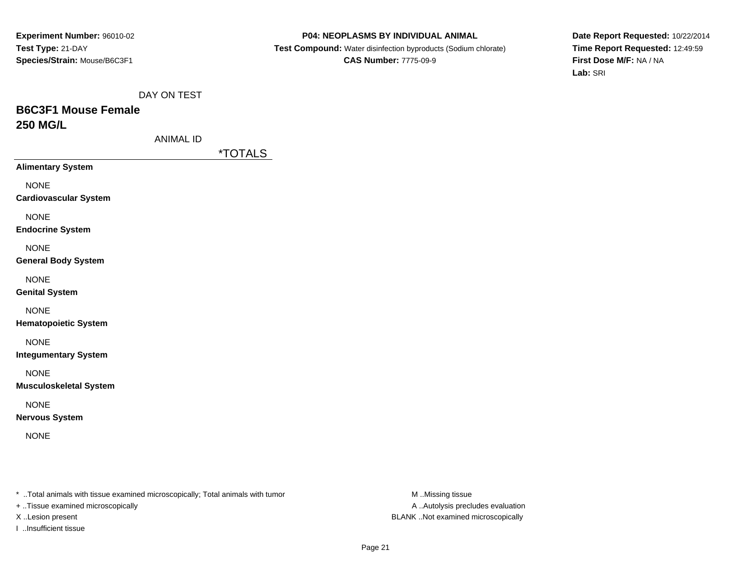#### **P04: NEOPLASMS BY INDIVIDUAL ANIMAL**

 **Test Compound:** Water disinfection byproducts (Sodium chlorate)**CAS Number:** 7775-09-9

**Date Report Requested:** 10/22/2014**Time Report Requested:** 12:49:59**First Dose M/F:** NA / NA**Lab:** SRI

DAY ON TEST

# **B6C3F1 Mouse Female250 MG/L**

ANIMAL ID

\*TOTALS

**Alimentary System**

NONE

**Cardiovascular System**

NONE

**Endocrine System**

NONE

**General Body System**

NONE

**Genital System**

NONE

**Hematopoietic System**

NONE

**Integumentary System**

NONE

**Musculoskeletal System**

NONE

**Nervous System**

NONE

\* ..Total animals with tissue examined microscopically; Total animals with tumor **M** ..Missing tissue M ..Missing tissue

+ ..Tissue examined microscopically

I ..Insufficient tissue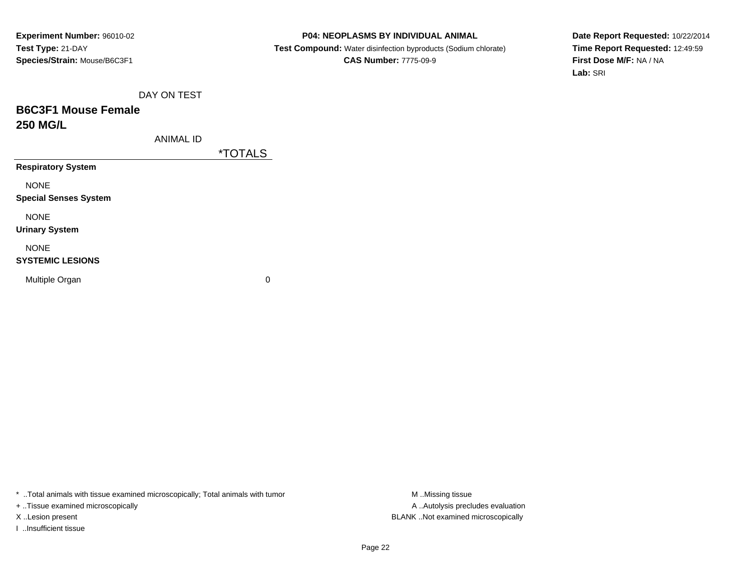#### **P04: NEOPLASMS BY INDIVIDUAL ANIMAL**

 **Test Compound:** Water disinfection byproducts (Sodium chlorate)**CAS Number:** 7775-09-9

**Date Report Requested:** 10/22/2014**Time Report Requested:** 12:49:59**First Dose M/F:** NA / NA**Lab:** SRI

DAY ON TEST

# **B6C3F1 Mouse Female250 MG/L**

ANIMAL ID

\*TOTALS

**Respiratory System**

NONE

**Special Senses System**

NONE

**Urinary System**

NONE

### **SYSTEMIC LESIONS**

Multiple Organ

 $\mathbf n$  0

\* ..Total animals with tissue examined microscopically; Total animals with tumor **M** ..Missing tissue M ..Missing tissue

+ ..Tissue examined microscopically

I ..Insufficient tissue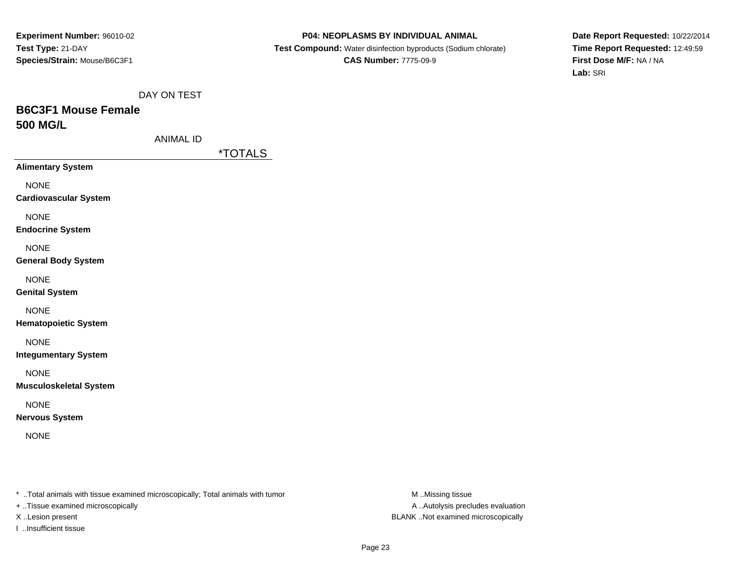#### **P04: NEOPLASMS BY INDIVIDUAL ANIMAL**

 **Test Compound:** Water disinfection byproducts (Sodium chlorate)**CAS Number:** 7775-09-9

**Date Report Requested:** 10/22/2014**Time Report Requested:** 12:49:59**First Dose M/F:** NA / NA**Lab:** SRI

DAY ON TEST

# **B6C3F1 Mouse Female500 MG/L**

|  | ANIMAL ID |  |
|--|-----------|--|
|--|-----------|--|

\*TOTALS

**Alimentary System**

NONE

**Cardiovascular System**

NONE

**Endocrine System**

NONE

**General Body System**

NONE

**Genital System**

NONE

**Hematopoietic System**

NONE

**Integumentary System**

NONE

**Musculoskeletal System**

NONE

**Nervous System**

NONE

\* ..Total animals with tissue examined microscopically; Total animals with tumor **M** ..Missing tissue M ..Missing tissue

+ ..Tissue examined microscopically

I ..Insufficient tissue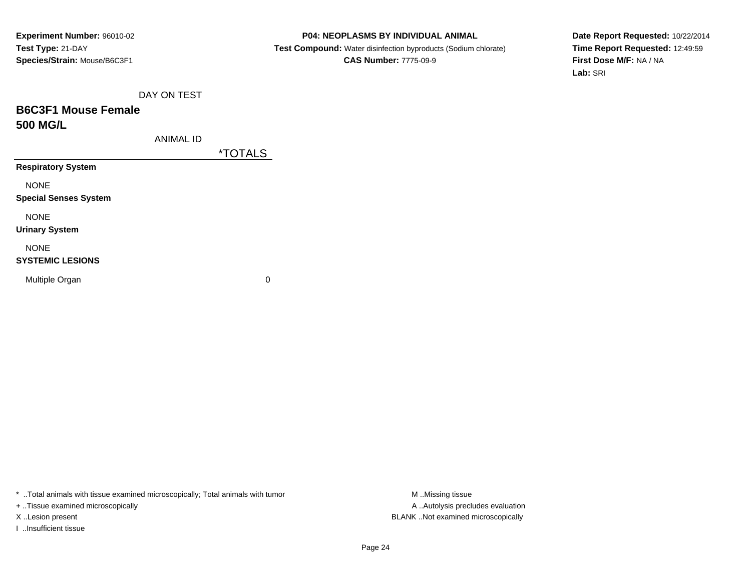#### **P04: NEOPLASMS BY INDIVIDUAL ANIMAL**

 **Test Compound:** Water disinfection byproducts (Sodium chlorate)**CAS Number:** 7775-09-9

**Date Report Requested:** 10/22/2014**Time Report Requested:** 12:49:59**First Dose M/F:** NA / NA**Lab:** SRI

DAY ON TEST

# **B6C3F1 Mouse Female500 MG/L**

ANIMAL ID

\*TOTALS

**Respiratory System**

NONE

**Special Senses System**

NONE

**Urinary System**

NONE

#### **SYSTEMIC LESIONS**

Multiple Organ

 $\mathbf n$  0

\* ..Total animals with tissue examined microscopically; Total animals with tumor **M** ..Missing tissue M ..Missing tissue

+ ..Tissue examined microscopically

I ..Insufficient tissue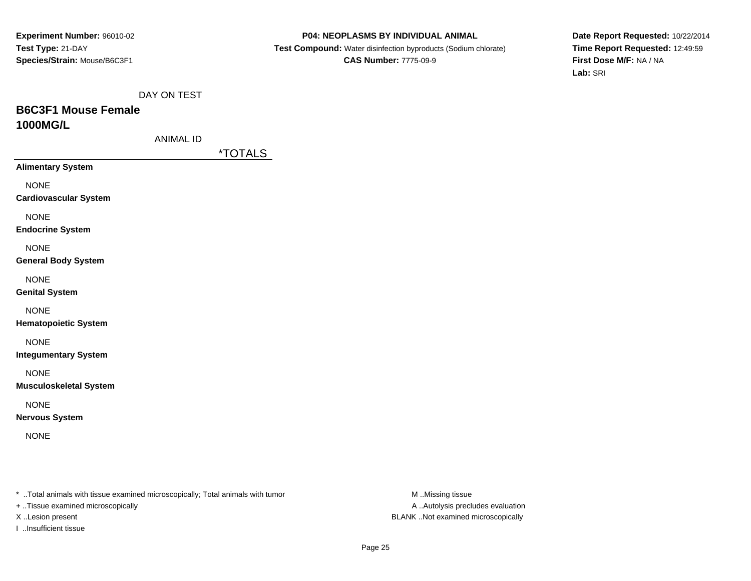#### **P04: NEOPLASMS BY INDIVIDUAL ANIMAL**

 **Test Compound:** Water disinfection byproducts (Sodium chlorate)**CAS Number:** 7775-09-9

**Date Report Requested:** 10/22/2014**Time Report Requested:** 12:49:59**First Dose M/F:** NA / NA**Lab:** SRI

DAY ON TEST

# **B6C3F1 Mouse Female1000MG/L**

| ANIMAL ID |
|-----------|
|-----------|

\*TOTALS

**Alimentary System**

NONE

**Cardiovascular System**

NONE

**Endocrine System**

NONE

**General Body System**

NONE

**Genital System**

NONE

**Hematopoietic System**

NONE

**Integumentary System**

NONE

**Musculoskeletal System**

NONE

**Nervous System**

NONE

\* ..Total animals with tissue examined microscopically; Total animals with tumor **M** ..Missing tissue M ..Missing tissue

+ ..Tissue examined microscopically

I ..Insufficient tissue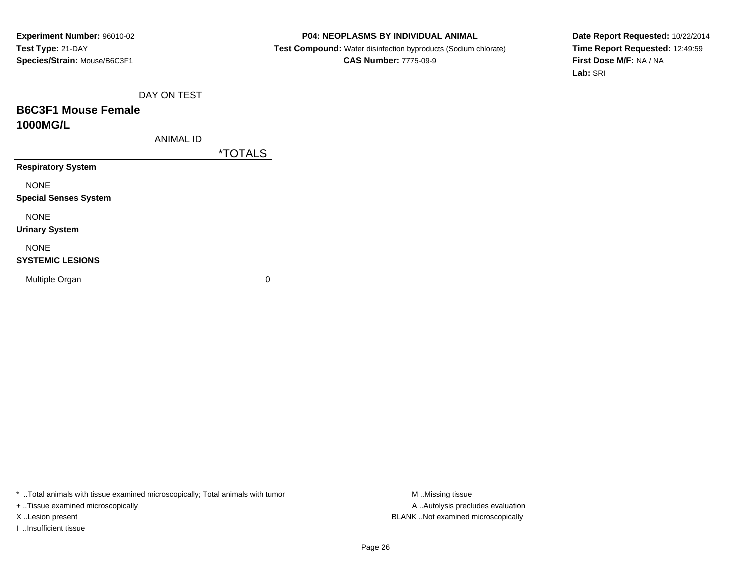#### **P04: NEOPLASMS BY INDIVIDUAL ANIMAL**

 **Test Compound:** Water disinfection byproducts (Sodium chlorate)**CAS Number:** 7775-09-9

**Date Report Requested:** 10/22/2014**Time Report Requested:** 12:49:59**First Dose M/F:** NA / NA**Lab:** SRI

DAY ON TEST

# **B6C3F1 Mouse Female1000MG/L**

ANIMAL ID

\*TOTALS

**Respiratory System**

NONE

**Special Senses System**

NONE

**Urinary System**

NONE

#### **SYSTEMIC LESIONS**

Multiple Organ

 $\mathbf n$  0

\* ..Total animals with tissue examined microscopically; Total animals with tumor **M** ..Missing tissue M ..Missing tissue

+ ..Tissue examined microscopically

I ..Insufficient tissue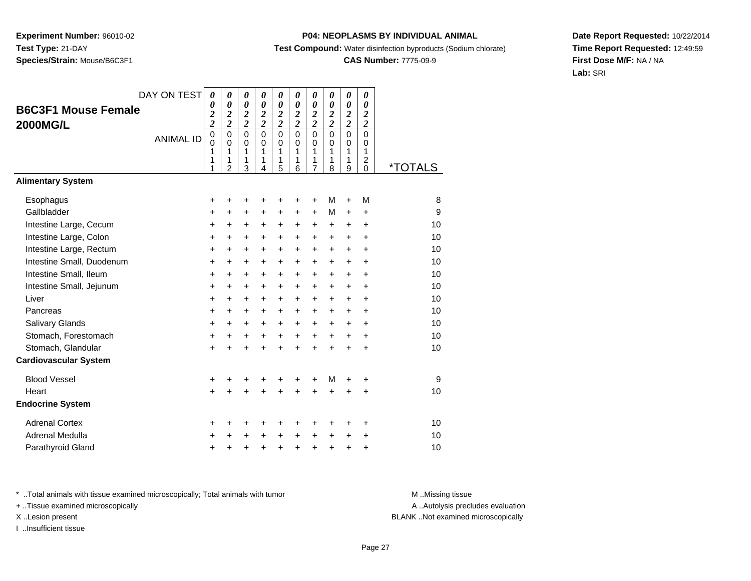## **P04: NEOPLASMS BY INDIVIDUAL ANIMAL**

**Test Compound:** Water disinfection byproducts (Sodium chlorate)

## **CAS Number:** 7775-09-9

**Date Report Requested:** 10/22/2014**Time Report Requested:** 12:49:59**First Dose M/F:** NA / NA**Lab:** SRI

| <b>B6C3F1 Mouse Female</b><br><b>2000MG/L</b> | DAY ON TEST<br><b>ANIMAL ID</b> | $\boldsymbol{\theta}$<br>0<br>$\frac{2}{2}$<br>$\pmb{0}$<br>$\Omega$<br>1<br>1<br>1 | 0<br>$\boldsymbol{\theta}$<br>$\frac{2}{2}$<br>$\mathbf 0$<br>$\Omega$<br>1<br>1<br>$\mathfrak{p}$ | 0<br>$\boldsymbol{\theta}$<br>$\boldsymbol{2}$<br>$\overline{c}$<br>$\mathbf 0$<br>$\mathbf 0$<br>1<br>1<br>3 | $\boldsymbol{\theta}$<br>$\boldsymbol{\theta}$<br>$\boldsymbol{2}$<br>$\overline{2}$<br>$\Omega$<br>$\Omega$<br>1<br>$\mathbf{1}$<br>4 | 0<br>$\boldsymbol{\theta}$<br>$\boldsymbol{2}$<br>$\overline{2}$<br>$\mathbf 0$<br>$\Omega$<br>1<br>1<br>5 | 0<br>$\boldsymbol{\theta}$<br>2<br>$\overline{2}$<br>$\Omega$<br>$\Omega$<br>1<br>1<br>6 | 0<br>$\boldsymbol{\theta}$<br>$\frac{2}{2}$<br>$\mathbf 0$<br>$\mathbf 0$<br>1<br>1<br>$\overline{7}$ | 0<br>0<br>$\boldsymbol{2}$<br>$\overline{2}$<br>$\mathbf 0$<br>$\Omega$<br>1<br>1<br>8 | 0<br>0<br>$\overline{\mathbf{c}}$<br>$\bar{2}$<br>$\mathbf 0$<br>$\mathbf 0$<br>1<br>1<br>9 | $\boldsymbol{\theta}$<br>$\boldsymbol{\theta}$<br>$\boldsymbol{2}$<br>$\overline{\mathbf{c}}$<br>$\mathbf 0$<br>$\Omega$<br>1<br>$\overline{c}$<br>$\Omega$ | <i><b>*TOTALS</b></i> |
|-----------------------------------------------|---------------------------------|-------------------------------------------------------------------------------------|----------------------------------------------------------------------------------------------------|---------------------------------------------------------------------------------------------------------------|----------------------------------------------------------------------------------------------------------------------------------------|------------------------------------------------------------------------------------------------------------|------------------------------------------------------------------------------------------|-------------------------------------------------------------------------------------------------------|----------------------------------------------------------------------------------------|---------------------------------------------------------------------------------------------|-------------------------------------------------------------------------------------------------------------------------------------------------------------|-----------------------|
| <b>Alimentary System</b>                      |                                 |                                                                                     |                                                                                                    |                                                                                                               |                                                                                                                                        |                                                                                                            |                                                                                          |                                                                                                       |                                                                                        |                                                                                             |                                                                                                                                                             |                       |
| Esophagus                                     |                                 | +                                                                                   | +                                                                                                  | +                                                                                                             | +                                                                                                                                      | +                                                                                                          | +                                                                                        | +                                                                                                     | М                                                                                      | +                                                                                           | M                                                                                                                                                           | 8                     |
| Gallbladder                                   |                                 | $\ddot{}$                                                                           | +                                                                                                  | $\ddot{}$                                                                                                     | +                                                                                                                                      | +                                                                                                          | +                                                                                        | +                                                                                                     | м                                                                                      | +                                                                                           | +                                                                                                                                                           | 9                     |
| Intestine Large, Cecum                        |                                 | $\ddot{}$                                                                           | $\ddot{}$                                                                                          | +                                                                                                             | +                                                                                                                                      | $\ddot{}$                                                                                                  | +                                                                                        | +                                                                                                     | $\ddot{}$                                                                              | $\ddot{}$                                                                                   | $\ddot{}$                                                                                                                                                   | 10                    |
| Intestine Large, Colon                        |                                 | +                                                                                   | +                                                                                                  | +                                                                                                             | $\ddot{}$                                                                                                                              | +                                                                                                          | $\ddot{}$                                                                                | $\ddot{}$                                                                                             | $\ddot{}$                                                                              | +                                                                                           | +                                                                                                                                                           | 10                    |
| Intestine Large, Rectum                       |                                 | $\ddot{}$                                                                           | $\ddot{}$                                                                                          | +                                                                                                             | $\ddot{}$                                                                                                                              | +                                                                                                          | $\ddot{}$                                                                                | +                                                                                                     | +                                                                                      | $\ddot{}$                                                                                   | $\ddot{}$                                                                                                                                                   | 10                    |
| Intestine Small, Duodenum                     |                                 | $\ddot{}$                                                                           | $\ddot{}$                                                                                          | +                                                                                                             | $\ddot{}$                                                                                                                              | $\ddot{}$                                                                                                  | $\ddot{}$                                                                                | $\ddot{}$                                                                                             | $+$                                                                                    | $\ddot{}$                                                                                   | $\ddot{}$                                                                                                                                                   | 10                    |
| Intestine Small, Ileum                        |                                 | +                                                                                   | $\ddot{}$                                                                                          | +                                                                                                             | $\ddot{}$                                                                                                                              | +                                                                                                          | $\ddot{}$                                                                                | $\ddot{}$                                                                                             | $\ddot{}$                                                                              | $\ddot{}$                                                                                   | $\ddot{}$                                                                                                                                                   | 10                    |
| Intestine Small, Jejunum                      |                                 | $\ddot{}$                                                                           | +                                                                                                  | +                                                                                                             | $\ddot{}$                                                                                                                              | +                                                                                                          | $\ddot{}$                                                                                | +                                                                                                     | $+$                                                                                    | +                                                                                           | +                                                                                                                                                           | 10                    |
| Liver                                         |                                 | $\ddot{}$                                                                           | $\ddot{}$                                                                                          | +                                                                                                             | $\ddot{}$                                                                                                                              | $\ddot{}$                                                                                                  | $\ddot{}$                                                                                | +                                                                                                     | $+$                                                                                    | $+$                                                                                         | $\ddot{}$                                                                                                                                                   | 10                    |
| Pancreas                                      |                                 | +                                                                                   | +                                                                                                  | +                                                                                                             | $\ddot{}$                                                                                                                              | +                                                                                                          | $\ddot{}$                                                                                | +                                                                                                     | $\ddot{}$                                                                              | +                                                                                           | +                                                                                                                                                           | 10                    |
| Salivary Glands                               |                                 | $\ddot{}$                                                                           | +                                                                                                  | +                                                                                                             | $\ddot{}$                                                                                                                              | +                                                                                                          | $\ddot{}$                                                                                | $\ddot{}$                                                                                             | $\ddot{}$                                                                              | $\ddot{}$                                                                                   | $\ddot{}$                                                                                                                                                   | 10                    |
| Stomach, Forestomach                          |                                 | $\ddot{}$                                                                           | $\ddot{}$                                                                                          | +                                                                                                             | $+$                                                                                                                                    | $\ddot{}$                                                                                                  | $+$                                                                                      | $+$                                                                                                   | $+$                                                                                    | $+$                                                                                         | $\ddot{}$                                                                                                                                                   | 10                    |
| Stomach, Glandular                            |                                 | $\ddot{}$                                                                           |                                                                                                    | $\ddot{}$                                                                                                     | $\ddot{}$                                                                                                                              | $\ddot{}$                                                                                                  | $\ddot{}$                                                                                | $\ddot{}$                                                                                             | $\ddot{}$                                                                              | $\ddot{}$                                                                                   | $\ddot{}$                                                                                                                                                   | 10                    |
| <b>Cardiovascular System</b>                  |                                 |                                                                                     |                                                                                                    |                                                                                                               |                                                                                                                                        |                                                                                                            |                                                                                          |                                                                                                       |                                                                                        |                                                                                             |                                                                                                                                                             |                       |
| <b>Blood Vessel</b>                           |                                 | +                                                                                   | +                                                                                                  | +                                                                                                             | +                                                                                                                                      | +                                                                                                          | +                                                                                        | +                                                                                                     | м                                                                                      | +                                                                                           | +                                                                                                                                                           | 9                     |
| Heart                                         |                                 | $\ddot{}$                                                                           |                                                                                                    | $\ddot{}$                                                                                                     |                                                                                                                                        | $\ddot{}$                                                                                                  | $\ddot{}$                                                                                | $\ddot{}$                                                                                             | ÷                                                                                      | +                                                                                           | $\ddot{}$                                                                                                                                                   | 10                    |
| <b>Endocrine System</b>                       |                                 |                                                                                     |                                                                                                    |                                                                                                               |                                                                                                                                        |                                                                                                            |                                                                                          |                                                                                                       |                                                                                        |                                                                                             |                                                                                                                                                             |                       |
| <b>Adrenal Cortex</b>                         |                                 | +                                                                                   | ٠                                                                                                  | +                                                                                                             | ٠                                                                                                                                      | +                                                                                                          | ٠                                                                                        | +                                                                                                     | ٠                                                                                      | ٠                                                                                           | +                                                                                                                                                           | 10                    |
| Adrenal Medulla                               |                                 | $\ddot{}$                                                                           |                                                                                                    | +                                                                                                             | $\ddot{}$                                                                                                                              | $\ddot{}$                                                                                                  | $\ddot{}$                                                                                | $\ddot{}$                                                                                             | $\ddot{}$                                                                              | +                                                                                           | +                                                                                                                                                           | 10                    |
| Parathyroid Gland                             |                                 | +                                                                                   | +                                                                                                  | +                                                                                                             | +                                                                                                                                      | +                                                                                                          | +                                                                                        | +                                                                                                     | $\ddot{}$                                                                              | +                                                                                           | +                                                                                                                                                           | 10                    |

\* ..Total animals with tissue examined microscopically; Total animals with tumor **M** . Missing tissue M ..Missing tissue

+ ..Tissue examined microscopically

I ..Insufficient tissue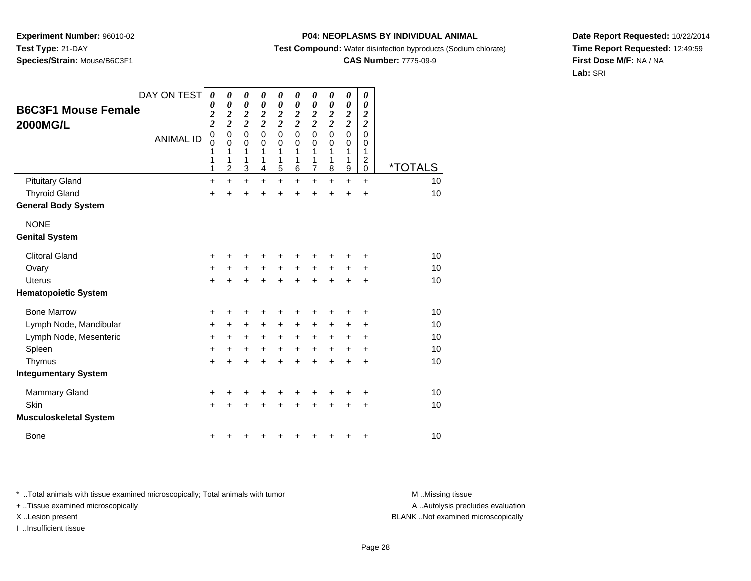### **P04: NEOPLASMS BY INDIVIDUAL ANIMAL**

**Test Compound:** Water disinfection byproducts (Sodium chlorate)

# **CAS Number:** 7775-09-9

**Date Report Requested:** 10/22/2014**Time Report Requested:** 12:49:59**First Dose M/F:** NA / NA**Lab:** SRI

| <b>B6C3F1 Mouse Female</b><br><b>2000MG/L</b> | DAY ON TEST<br><b>ANIMAL ID</b> | 0<br>0<br>$\frac{2}{2}$<br>$\overline{0}$<br>0<br>1<br>1<br>1 | 0<br>0<br>$\frac{2}{2}$<br>$\mathbf 0$<br>0<br>1<br>1<br>$\overline{2}$ | 0<br>$\boldsymbol{\theta}$<br>$\frac{2}{2}$<br>$\mathbf 0$<br>$\Omega$<br>1<br>1<br>3 | 0<br>$\boldsymbol{\theta}$<br>$\frac{2}{2}$<br>$\mathbf 0$<br>$\Omega$<br>1<br>1<br>4 | 0<br>$\boldsymbol{\theta}$<br>$\frac{2}{2}$<br>$\mathbf 0$<br>$\mathbf 0$<br>1<br>1<br>5 | 0<br>0<br>$\frac{2}{2}$<br>$\mathbf 0$<br>$\Omega$<br>1<br>1<br>6 | 0<br>$\boldsymbol{\theta}$<br>$\frac{2}{2}$<br>$\mathbf 0$<br>0<br>1<br>1<br>7 | 0<br>$\boldsymbol{\theta}$<br>$\frac{2}{2}$<br>$\mathbf 0$<br>$\Omega$<br>1<br>1<br>8 | 0<br>$\boldsymbol{\theta}$<br>$\frac{2}{2}$<br>$\mathbf 0$<br>0<br>1<br>1<br>$\boldsymbol{9}$ | 0<br>0<br>$\boldsymbol{2}$<br>$\overline{2}$<br>$\mathbf 0$<br>0<br>1<br>$\overline{c}$<br>$\mathbf 0$ | <i><b>*TOTALS</b></i> |
|-----------------------------------------------|---------------------------------|---------------------------------------------------------------|-------------------------------------------------------------------------|---------------------------------------------------------------------------------------|---------------------------------------------------------------------------------------|------------------------------------------------------------------------------------------|-------------------------------------------------------------------|--------------------------------------------------------------------------------|---------------------------------------------------------------------------------------|-----------------------------------------------------------------------------------------------|--------------------------------------------------------------------------------------------------------|-----------------------|
| <b>Pituitary Gland</b>                        |                                 | $\ddot{}$                                                     | $\ddot{}$                                                               | $\ddot{}$                                                                             | $\ddot{}$                                                                             | $\ddot{}$                                                                                | $\ddot{}$                                                         | $\ddot{}$                                                                      | $\ddot{}$                                                                             | $+$                                                                                           | $+$                                                                                                    | 10                    |
| <b>Thyroid Gland</b>                          |                                 | $\ddot{}$                                                     | $\ddot{}$                                                               | +                                                                                     | +                                                                                     | $\ddot{}$                                                                                | $\ddot{}$                                                         | $\ddot{}$                                                                      | +                                                                                     | +                                                                                             | $\ddot{}$                                                                                              | 10                    |
| <b>General Body System</b>                    |                                 |                                                               |                                                                         |                                                                                       |                                                                                       |                                                                                          |                                                                   |                                                                                |                                                                                       |                                                                                               |                                                                                                        |                       |
| <b>NONE</b><br><b>Genital System</b>          |                                 |                                                               |                                                                         |                                                                                       |                                                                                       |                                                                                          |                                                                   |                                                                                |                                                                                       |                                                                                               |                                                                                                        |                       |
| <b>Clitoral Gland</b>                         |                                 | $\ddot{}$                                                     |                                                                         | ٠                                                                                     |                                                                                       | +                                                                                        |                                                                   |                                                                                |                                                                                       |                                                                                               |                                                                                                        | 10                    |
| Ovary                                         |                                 | +                                                             | $\ddot{}$                                                               | $\ddot{}$                                                                             | $\ddot{}$                                                                             | $\ddot{}$                                                                                | $\ddot{}$                                                         | $\ddot{}$                                                                      | $\ddot{}$                                                                             | $\ddot{}$                                                                                     | +                                                                                                      | 10                    |
| Uterus                                        |                                 | $\ddot{}$                                                     | ÷                                                                       | $\ddot{}$                                                                             | $\ddot{}$                                                                             | $\ddot{}$                                                                                | ÷                                                                 | $\ddot{}$                                                                      | $\ddot{}$                                                                             | $\ddot{}$                                                                                     | $\ddot{}$                                                                                              | 10                    |
| <b>Hematopoietic System</b>                   |                                 |                                                               |                                                                         |                                                                                       |                                                                                       |                                                                                          |                                                                   |                                                                                |                                                                                       |                                                                                               |                                                                                                        |                       |
| <b>Bone Marrow</b>                            |                                 | +                                                             | +                                                                       | +                                                                                     | +                                                                                     | +                                                                                        | ٠                                                                 | +                                                                              | +                                                                                     |                                                                                               | ٠                                                                                                      | 10                    |
| Lymph Node, Mandibular                        |                                 | $\ddot{}$                                                     | $\ddot{}$                                                               | +                                                                                     | $\ddot{}$                                                                             | $\ddot{}$                                                                                | +                                                                 | +                                                                              | $\ddot{}$                                                                             | $\ddot{}$                                                                                     | $\ddot{}$                                                                                              | 10                    |
| Lymph Node, Mesenteric                        |                                 | $\ddot{}$                                                     | $\ddot{}$                                                               | $\ddot{}$                                                                             | $\ddot{}$                                                                             | $+$                                                                                      | $\ddot{}$                                                         | $\ddot{}$                                                                      | $\ddot{}$                                                                             | $\ddot{}$                                                                                     | ÷                                                                                                      | 10                    |
| Spleen                                        |                                 | $\ddot{}$                                                     | $\ddot{}$                                                               | $\ddot{}$                                                                             | $\ddot{}$                                                                             | $\ddot{}$                                                                                | +                                                                 | $\ddot{}$                                                                      | $\ddot{}$                                                                             | $\ddot{}$                                                                                     | $\ddot{}$                                                                                              | 10                    |
| Thymus                                        |                                 | $+$                                                           | ÷                                                                       | $\ddot{}$                                                                             | ÷                                                                                     | $\ddot{}$                                                                                | $\ddot{}$                                                         | $\ddot{}$                                                                      | $\ddot{}$                                                                             | $\div$                                                                                        | $\ddot{}$                                                                                              | 10                    |
| <b>Integumentary System</b>                   |                                 |                                                               |                                                                         |                                                                                       |                                                                                       |                                                                                          |                                                                   |                                                                                |                                                                                       |                                                                                               |                                                                                                        |                       |
| Mammary Gland                                 |                                 | +                                                             | +                                                                       | +                                                                                     | ٠                                                                                     | +                                                                                        |                                                                   | +                                                                              |                                                                                       |                                                                                               | +                                                                                                      | 10                    |
| Skin                                          |                                 | $\ddot{}$                                                     | +                                                                       | $\ddot{}$                                                                             | $\ddot{}$                                                                             | $\ddot{}$                                                                                | +                                                                 | +                                                                              | +                                                                                     | +                                                                                             | $\ddot{}$                                                                                              | 10                    |
| <b>Musculoskeletal System</b>                 |                                 |                                                               |                                                                         |                                                                                       |                                                                                       |                                                                                          |                                                                   |                                                                                |                                                                                       |                                                                                               |                                                                                                        |                       |
| Bone                                          |                                 | +                                                             | ٠                                                                       | +                                                                                     |                                                                                       | +                                                                                        | ┿                                                                 | +                                                                              | +                                                                                     |                                                                                               | +                                                                                                      | 10                    |

\* ..Total animals with tissue examined microscopically; Total animals with tumor **M** . Missing tissue M ..Missing tissue

+ ..Tissue examined microscopically

I ..Insufficient tissue